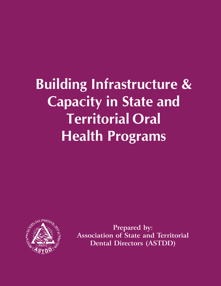**Building Infrastructure & Capacity in State and Territorial Oral Health Programs**



**Prepared by: Association of State and Territorial Dental Directors (ASTDD)**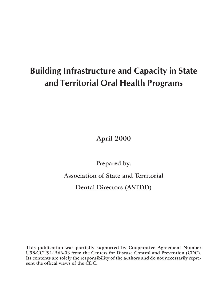# **Building Infrastructure and Capacity in State and Territorial Oral Health Programs**

**April 2000**

**Prepared by:**

**Association of State and Territorial**

**Dental Directors (ASTDD)**

**This publication was partially supported by Cooperative Agreement Number U58/CCU914566-03 from the Centers for Disease Control and Prevention (CDC). Its contents are solely the responsibility of the authors and do not necessarily represent the offical views of the CDC.**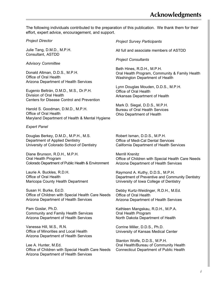The following individuals contributed to the preparation of this publication. We thank them for their effort, expert advice, encouragement, and support.

*Project Director*

Julie Tang, D.M.D., M.P.H. Consultant, ASTDD

#### *Advisory Committee*

Donald Altman, D.D.S., M.P.H. Office of Oral Health Arizona Department of Health Services

Eugenio Beltrán, D.M.D., M.S., Dr.P.H. Division of Oral Health Centers for Disease Control and Prevention

Harold S. Goodman, D.M.D., M.P.H. Office of Oral Health Maryland Department of Health & Mental Hygiene

#### *Expert Panel*

Douglas Berkey, D.M.D., M.P.H., M.S. Department of Applied Dentistry University of Colorado School of Dentistry

Diane Brunson, R.D.H., M.P.H. Oral Health Program Colorado Department of Public Health & Environment

Laurie A. Buckles, R.D.H. Office of Oral Health Maricopa County Health Department

Susan H. Burke, Ed.D. Office of Children with Special Health Care Needs Arizona Department of Health Services

Pam Goslar, Ph.D. Community and Family Health Services Arizona Department of Health Services

Vanessa Hill, M.S., R.N. Office of Minorities and Local Health Arizona Department of Health Services

Lee A. Hunter, M.Ed. Office of Children with Special Health Care Needs Arizona Department of Health Services

*Project Survey Participants*

All full and associate members of ASTDD

*Project Consultants*

Beth Hines, R.D.H., M.P.H. Oral Health Program, Community & Family Health Washington Department of Health

Lynn Douglas Mouden, D.D.S., M.P.H. Office of Oral Health Arkansas Department of Health

Mark D. Siegal, D.D.S., M.P.H. Bureau of Oral Health Services Ohio Department of Health

Robert Isman, D.D.S., M.P.H. Office of Medi-Cal Dental Services California Department of Health Services

Merrill Krenitz Office of Children with Special Health Care Needs Arizona Department of Health Services

Raymond A. Kuthy, D.D.S., M.P.H. Department of Preventive and Community Dentistry University of Iowa College of Dentistry

Debby Kurtz-Weidinger, R.D.H., M.Ed. Office of Oral Health Arizona Department of Health Services

Kathleen Mangskau, R.D.H., M.P.A. Oral Health Program North Dakota Department of Health

Corrine Miller, D.D.S., Ph.D. University of Kansas Medical Center

Stanton Wolfe, D.D.S., M.P.H. Oral Health/Bureau of Community Health Connecticut Department of Public Health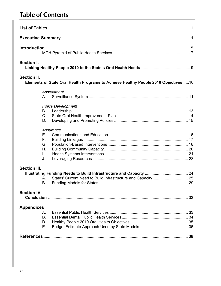# **Table of Contents**

| Section I.          |                                                                                      |  |
|---------------------|--------------------------------------------------------------------------------------|--|
| <b>Section II.</b>  | Elements of State Oral Health Programs to Achieve Healthy People 2010 Objectives  10 |  |
|                     | Assessment<br>$A_{1}$                                                                |  |
|                     | <b>Policy Development</b><br>В.<br>$C_{\cdot}$<br>D.                                 |  |
|                     | Assurance<br>Е.<br>F.,<br>G.<br>Η.<br>$\mathbf{L}$<br>J.                             |  |
| <b>Section III.</b> | Α.<br>В.                                                                             |  |
| <b>Section IV.</b>  |                                                                                      |  |
| <b>Appendices</b>   | Α.<br><b>B.</b><br>D.<br>Е.                                                          |  |
|                     |                                                                                      |  |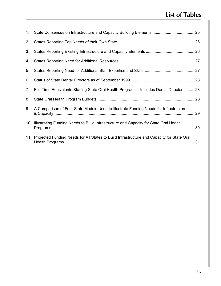# **List of Tables**

| 1. |                                                                                                |  |
|----|------------------------------------------------------------------------------------------------|--|
| 2. |                                                                                                |  |
| 3. |                                                                                                |  |
| 4. |                                                                                                |  |
| 5. |                                                                                                |  |
| 6. |                                                                                                |  |
| 7. | Full-Time Equivalents Staffing State Oral Health Programs - Includes Dental Director  28       |  |
| 8. |                                                                                                |  |
| 9. | A Comparison of Four State Models Used to Illustrate Funding Needs for Infrastructure          |  |
|    | 10. Illustrating Funding Needs to Build Infrastructure and Capacity for State Oral Health      |  |
|    | 11. Projected Funding Needs for All States to Build Infrastructure and Capacity for State Oral |  |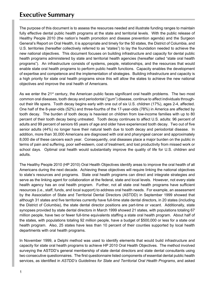### **Executive Summary**

The purpose of this document is to assess the resources needed and illustrate funding ranges to maintain fully effective dental public health programs at the state and territorial levels. With the public release of Healthy People 2010 (the nation's health promotion and disease prevention agenda) and the Surgeon General's Report on Oral Health, it is appropriate and timely for the 50 states, the District of Columbia, and U.S. territories (hereafter collectively referred to as "states") to lay the foundation needed to achieve the new national objectives. This document focuses on building infrastructure and capacity for dental public health programs administered by state and territorial health agencies (hereafter called "state oral health programs"). An infrastructure consists of systems, people, relationships, and the resources that would enable state oral health programs to perform public health functions. Capacity enables the development of expertise and competence and the implementation of strategies. Building infrastructure and capacity is a high priority for state oral health programs since this will allow the states to achieve the new national objectives and improve the oral health of Americans.

As we enter the 21<sup>st</sup> century, the American public faces significant oral health problems. The two most common oral diseases, tooth decay and periodontal ("gum") disease, continue to affect individuals throughout their life spans. Tooth decay begins early with one out of six U.S. children (17%), ages 2-4, affected. One half of the 8-year-olds (52%) and three-fourths of the 17-year-olds (78%) in America are affected by tooth decay. The burden of tooth decay is heaviest on children from low-income families with up to 80 percent of their tooth decay being untreated. Tooth decay continues to affect U.S. adults: 96 percent of adults and 99 percent of seniors 65 years of age and older have experienced tooth decay. Two out of five senior adults (44%) no longer have their natural teeth due to tooth decay and periodontal disease. In addition, more than 30,000 Americans are diagnosed with oral and pharyngeal cancer and approximately 8,000 die of these cancers each year. Consequently, oral diseases place a major burden on the public in terms of pain and suffering, poor self-esteem, cost of treatment, and lost productivity from missed work or school days. Optimal oral health would substantially improve the quality of life for U.S. children and adults.

The Healthy People 2010 (HP 2010) Oral Health Objectives identify areas to improve the oral health of all Americans during the next decade. Achieving these objectives will require linking the national objectives to state's resources and programs. State oral health programs can direct and integrate strategies and serve as the linking agent for collaboration at the federal, state and local levels. However, not every state health agency has an oral health program. Further, not all state oral health programs have sufficient resources (i.e., staff, funds, and local support) to address oral health needs. For example, an assessment by the Association of State and Territorial Dental Directors (ASTDD) in September 1999 showed that although 31 states and five territories currently have full-time state dental directors, in 20 states (including the District of Columbia), the state dental director positions are part-time or vacant. Additionally, state synopses provided by state dental directors in March 1999 showed 21 states, with populations totaling 67 million people, have two or fewer full-time equivalents staffing a state oral health program. About half of the states, with populations totaling 92 million people, have a budget of \$500,000 or less for a state oral health program. Also, 25 states have less than 10 percent of their counties supported by local health departments with oral health programs.

In November 1999, a Delphi method was used to identify elements that would build infrastructure and capacity for state oral health programs to achieve HP 2010 Oral Health Objectives. The method involved surveying the ASTDD's general membership of state dental directors and state dental consultants using two consecutive questionnaires. The first questionnaire listed components of essential dental public health services, as identified in *ASTDD's Guidelines for State and Territorial Oral Health Programs*, and asked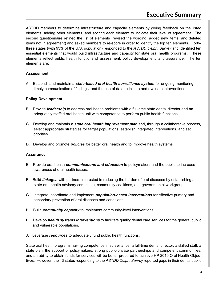ASTDD members to determine infrastructure and capacity elements by giving feedback on the listed elements, adding other elements, and scoring each element to indicate their level of agreement. The second questionnaire refined the list of elements (revised the wording, added new items, and deleted items not in agreement) and asked members to re-score in order to identify the top ten elements. Fortythree states (with 93% of the U.S. population) responded to the *ASTDD Delphi Survey* and identified ten essential elements that would build infrastructure and capacity for state oral health programs. These elements reflect public health functions of assessment, policy development, and assurance. The ten elements are:

### **Assessment**

A. Establish and maintain a *state-based oral health surveillance system* for ongoing monitoring, timely communication of findings, and the use of data to initiate and evaluate interventions.

### **Policy Development**

- B. Provide *leadership* to address oral health problems with a full-time state dental director and an adequately staffed oral health unit with competence to perform public health functions.
- C. Develop and maintain a *state oral health improvement plan* and, through a collaborative process, select appropriate strategies for target populations, establish integrated interventions, and set priorities.
- D. Develop and promote *policies* for better oral health and to improve health systems.

### **Assurance**

- E. Provide oral health *communications and education* to policymakers and the public to increase awareness of oral health issues.
- F. Build *linkages* with partners interested in reducing the burden of oral diseases by establishing a state oral health advisory committee, community coalitions, and governmental workgroups.
- G. Integrate, coordinate and implement *population-based interventions* for effective primary and secondary prevention of oral diseases and conditions.
- H. Build *community capacity* to implement community-level interventions.
- I. Develop *health systems interventions* to facilitate quality dental care services for the general public and vulnerable populations.
- J. Leverage *resources* to adequately fund public health functions.

State oral health programs having competence in surveillance; a full-time dental director; a skilled staff; a state plan; the support of policymakers, strong public-private partnerships and competent communities; and an ability to obtain funds for services will be better prepared to achieve HP 2010 Oral Health Objectives. However, the 43 states responding to the *ASTDD Delphi Survey* reported gaps in their dental public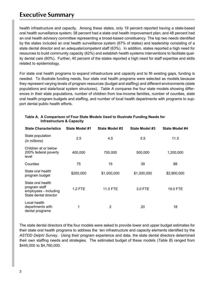### **Executive Summary**

health infrastructure and capacity. Among these states, only 19 percent reported having a state-based oral health surveillance system; 38 percent had a state oral health improvement plan; and 48 percent had an oral health advisory committee representing a broad-based constituency. The top two needs identified by the states included an oral health surveillance system (67% of states) and leadership consisting of a state dental director and an adequate/competent staff (63%). In addition, states reported a high need for resources to build community capacity (62%) and establish health systems interventions to facilitate quality dental care (60%). Further, 40 percent of the states reported a high need for staff expertise and skills related to epidemiology.

For state oral health programs to expand infrastructure and capacity and to fill existing gaps, funding is needed. To illustrate funding needs, four state oral health programs were selected as models because they represent varying levels of program resources (budget and staffing) and different environments (state populations and state/local system structures). *Table A* compares the four state models showing differences in their state populations, number of children from low-income families, number of counties, state oral health program budgets and staffing, and number of local health departments with programs to support dental public health efforts.

| <b>State Characteristics</b>                                                         | State Model #1 | State Model #2  | State Model #3 | State Model #4 |
|--------------------------------------------------------------------------------------|----------------|-----------------|----------------|----------------|
| State population<br>(in millions)                                                    | 2.5            | 4.5             | 5.5            | 11.5           |
| Children at or below<br>200% federal poverty<br>level                                | 400,000        | 700,000         | 500,000        | 1,200,000      |
| Counties                                                                             | 75             | 15              | 39             | 88             |
| State oral health<br>program budget                                                  | \$200,000      | \$1,000,000     | \$1,000,000    | \$2,900,000    |
| State oral health<br>program staff<br>employees - including<br>State dental director | $1.2$ FTE      | <b>11.0 FTE</b> | 3.0 FTE        | 19.0 FTE       |
| Local health<br>departments with<br>dental programs                                  | 1              | $\overline{2}$  | 20             | 18             |

#### **Table A. A Comparison of Four State Models Used to Illustrate Funding Needs for Infrastructure & Capacity**

The state dental directors of the four models were asked to provide lower and upper budget estimates for their state oral health programs to address the ten infrastructure and capacity elements identified by the *ASTDD Delphi Survey*. Using their program experience and data, the state dental directors determined their own staffing needs and strategies. The estimated budget of these models (*Table B*) ranged from \$445,000 to \$4,760,000.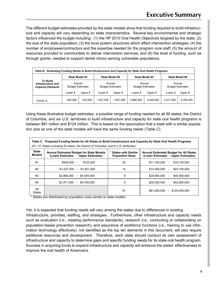The different budget estimates provided by the state models show that funding required to build infrastructure and capacity will vary depending on state characteristics. Several key environmental and strategic factors influenced the budget including: (1) the HP 2010 Oral Health Objectives targeted by the state; (2) the size of the state population; (3) the local system structures which affect intervention strategies; (4) the number of employees/contractors and the expertise needed for the program core staff; (5) the amount of resources provided to communities to deliver intervention services; and (6) the level of funding, such as through grants, needed to support dental clinics serving vulnerable populations.

| Table B. Illustrating Funding Needs to Build Infrastructure and Capacity for State Oral Health Programs |                                   |          |                |                                   |                |                                   |                |                                   |
|---------------------------------------------------------------------------------------------------------|-----------------------------------|----------|----------------|-----------------------------------|----------------|-----------------------------------|----------------|-----------------------------------|
|                                                                                                         | State Model #1                    |          | State Model #2 |                                   | State Model #3 |                                   | State Model #4 |                                   |
| To Build<br>Infrastructure and<br><b>Capacity Elements</b>                                              | Annual<br><b>Budget Estimates</b> |          |                | Annual<br><b>Budget Estimates</b> |                | Annual<br><b>Budget Estimates</b> |                | Annual<br><b>Budget Estimates</b> |
|                                                                                                         | Lower \$                          | Upper \$ | Lower \$       | Upper \$                          | Lower \$       | Upper \$                          | Lower \$       | Upper \$                          |
| <b>TOTAL \$</b>                                                                                         | 445.000                           | 722.000  | 1,027,000      | 1.651.000                         | 2.868.000      | 4.449.000                         | 3,371,000      | 4,760,000                         |

Using these illustrative budget estimates, a possible range of funding needed for all 50 states, the District of Columbia, and six U.S. territories to build infrastructure and capacity for state oral health programs is between \$81 million and \$124 million. This is based on the assumption that a state with a similar population size as one of the state models will have the same funding needs (*Table C*).

| Table C. Projected Funding Needs for All States to Build Infrastructure and Capacity for State Oral Health Programs<br>$(N = 57$ States including 50 states, the District of Columbia, and 6 U.S. territories) |                                                                                        |                                                  |                                                                                      |  |  |  |
|----------------------------------------------------------------------------------------------------------------------------------------------------------------------------------------------------------------|----------------------------------------------------------------------------------------|--------------------------------------------------|--------------------------------------------------------------------------------------|--|--|--|
| <b>State</b><br><b>Models</b>                                                                                                                                                                                  | <b>Annual Estimated Budget for State Models</b><br>(Lower Estimates - Upper Estimates) | * States with Similar<br><b>Population Sizes</b> | <b>Annual Estimated Budget for All States</b><br>(Lower Estimates - Upper Estimates) |  |  |  |
| #1                                                                                                                                                                                                             | \$722,000<br>\$445,000<br>$\overline{\phantom{a}}$                                     | 25                                               | \$11.100.000<br>\$18.100.000<br>$\overline{\phantom{a}}$                             |  |  |  |
| #2                                                                                                                                                                                                             | \$1,027,000<br>\$1.651.000<br>$\sim$                                                   | 14                                               | \$14,300,000<br>\$23.100.000<br>$\overline{\phantom{0}}$                             |  |  |  |
| #3                                                                                                                                                                                                             | \$2,868,000<br>\$4.449.000<br>$\overline{\phantom{a}}$                                 | 9                                                | \$25,800,000<br>\$40,000,000<br>$\overline{\phantom{a}}$                             |  |  |  |
| #4                                                                                                                                                                                                             | \$3,371,000<br>\$4.760.000<br>$\overline{\phantom{a}}$                                 | 9                                                | \$30,300,000<br>\$42,800,000                                                         |  |  |  |
| All<br><b>States</b>                                                                                                                                                                                           |                                                                                        | 57                                               | \$81,500,000<br>\$124.000.000<br>$\overline{\phantom{0}}$                            |  |  |  |

*\* States are distributed by population sizes similar to state models*.

Yet, it is expected that funding needs will vary among the states due to differences in existing infrastructure, priorities, staffing, and strategies. Furthermore, other infrastructure and capacity needs such as evaluation (i.e., meeting performance standards), research (i.e., conducting or collaborating on population-based prevention research), and assurance of workforce functions (i.e., training to use information technology effectively), not identified as the top ten elements in this document, will also require additional resources and development. Therefore, each state should conduct its own assessment of infrastructure and capacity to determine gaps and specific funding needs for its state oral health program. Success in acquiring funds to expand infrastructure and capacity will enhance the states' effectiveness to improve the oral health of Americans.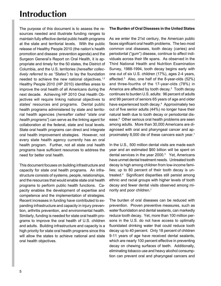# **Introduction**

The purpose of this document is to assess the resources needed and illustrate funding ranges to maintain fully effective dental public health programs at the state and territorial levels. With the public release of Healthy People 2010 (the nation's health promotion and disease prevention agenda) and the Surgeon General's Report on Oral Health, it is appropriate and timely for the 50 states, the District of Columbia, and the U.S. territories (*hereafter collectively referred to as "States"*) to lay the foundation needed to achieve the new national objectives.<sup>1,2</sup> Healthy People 2010 (HP 2010) identifies areas to improve the oral health of all Americans during the next decade. Achieving HP 2010 Oral Health Objectives will require linking national objectives to states' resources and programs. Dental public health programs administered by state and territorial health agencies (*hereafter called "state oral health programs"*) can serve as the linking agent for collaboration at the federal, state and local levels. State oral health programs can direct and integrate oral health improvement strategies. However, not every state health agency currently has an oral health program. Further, not all state oral health programs have sufficient resources to address the need for better oral health.

This document focuses on building infrastructure and capacity for state oral health programs. An infrastructure consists of systems, people, relationships, and the resources that would enable state oral health programs to perform public health functions. Capacity enables the development of expertise and competence and the implementation of strategies. Recent increases in funding have contributed to expanding infrastructure and capacity in injury prevention, arthritis prevention, and environmental health. Similarly, funding is needed for state oral health programs to improve the oral health of U.S. children and adults. Building infrastructure and capacity is a high priority for state oral health programs since this will allow the states to achieve national and state oral health objectives.

#### **The Burden of Oral Diseases in the United States**

As we enter the 21st century, the American public faces significant oral health problems. The two most common oral diseases, tooth decay (caries) and periodontal ("gum") disease, continue to affect individuals across their life spans. As observed in the Third National Health and Nutrition Examination Survey, 1988-1994, tooth decay begins early with one out of six U.S. children (17%), ages 2-4 years, affected.3 Also, one half of the 8-year-olds (52%) and three-fourths of the 17-year-olds (78%) in America are affected by tooth decay.<sup>3</sup> Tooth decay continues to burden U.S. adults: 96 percent of adults and 99 percent of seniors 65 years of age and older have experienced tooth decay.<sup>4</sup> Approximately two out of five senior adults (44%) no longer have their natural teeth due to tooth decay or periodontal disease.5 Other serious oral health problems are seen among adults. More than 30,000 Americans are diagnosed with oral and pharyngeal cancer and approximately 8,000 die of these cancers each year.<sup>1</sup>

In the U.S., 500 million dental visits are made each year and an estimated \$60 billion will be spent on dental services in the year 2000.<sup>3</sup> Yet, Americans have unmet dental treatment needs. Untreated tooth decay is high among children from low-income families; up to 80 percent of their tooth decay is untreated.4 Significant disparities still persist among ethnic and racial groups with higher levels of tooth decay and fewer dental visits observed among minority and poor children.<sup>1</sup>

The burden of oral diseases can be reduced with prevention. Proven preventive measures, such as water fluoridation and dental sealants, can markedly reduce tooth decay. Yet, more than 100 million persons in the U.S. do not have access to optimally fluoridated drinking water that could reduce tooth decay up to 40 percent. Only 18 percent of children 9-11 years of age have received dental sealants, which are nearly 100 percent effective in preventing decay on chewing surfaces of teeth. Additionally, eliminating tobacco use and heavy alcohol consumption can prevent oral and pharyngeal cancers and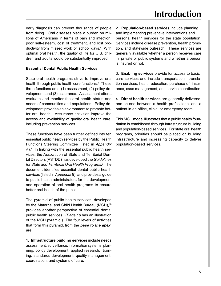early diagnosis can prevent thousands of people from dying. Oral diseases place a burden on millions of Americans in terms of pain and infection, poor self-esteem, cost of treatment, and lost productivity from missed work or school days.<sup>6</sup> With optimal oral health, the quality of life for U.S. children and adults would be substantially improved.

### **Essential Dental Public Health Services**

State oral health programs strive to improve oral health through public health core functions.<sup>7</sup> These three functions are: (1) assessment, (2) policy development, and (3) assurance. Assessment efforts evaluate and monitor the oral health status and needs of communities and populations. Policy development provides an environment to promote better oral health. Assurance activities improve the access and availability of quality oral health care, including prevention services.

These functions have been further defined into ten essential public health services by the Public Health Functions Steering Committee (listed in *Appendix* A).<sup>8</sup> In linking with the essential public health services, the Association of State and Territorial Dental Directors (ASTDD) has developed the *Guidelines for State and Territorial Oral Health Programs*. 9 The document identifies essential dental public health services (listed in *Appendix B*), and provides a guide to public health administrators for the development and operation of oral health programs to ensure better oral health of the public.

The pyramid of public health services, developed by the Maternal and Child Health Bureau (MCH),<sup>10</sup> provides another perspective of essential dental public health services. (*Page 10* has an illustration of the MCH pyramid.) The four levels of activities that form this pyramid, from the *base to the apex*, are:

1. **Infrastructure building services** include needs assessment, surveillance, information systems, planning, policy development, applied research, training, standards development, quality management, coordination, and systems of care.

2. **Population-based services** include planning and implementing preventive interventions and personal health services for the state population. Services include disease prevention, health promotion, and statewide outreach. These services are generally available whether a person receives care in private or public systems and whether a person is insured or not.

3. **Enabling services** provide for access to basic care services and include transportation, translation services, health education, purchase of insurance, case management, and service coordination.

4. **Direct health services** are generally delivered one-on-one between a health professional and a patient in an office, clinic, or emergency room.

This MCH model illustrates that a public health foundation is established through infrastructure building and population-based services. For state oral health programs, priorities should be placed on building infrastructure and increasing capacity to deliver population-based services.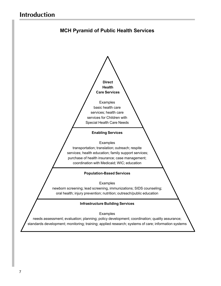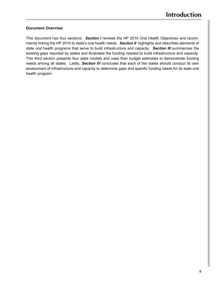### **Document Overview**

This document has four sections. *Section I* reviews the HP 2010 Oral Health Objectives and recommends linking the HP 2010 to state's oral health needs. *Section II* highlights and describes elements of state oral health programs that serve to build infrastructure and capacity. *Section III* summarizes the existing gaps reported by states and illustrates the funding needed to build infrastructure and capacity. This third section presents four state models and uses their budget estimates to demonstrate funding needs among all states. Lastly, *Section IV* concludes that each of the states should conduct its own assessment of infrastructure and capacity to determine gaps and specific funding needs for its state oral health program.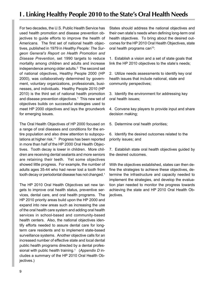### **I . Linking Healthy People 2010 to the State's Oral Health Needs**

For two decades, the U.S. Public Health Service has used health promotion and disease prevention objectives to guide efforts to improve the health of Americans. The first set of national health objectives, published in 1979 in *Healthy People: The Surgeon General's Report on Health Promotion and Disease Prevention*, set 1990 targets to reduce mortality among children and adults and increase independence among older adults. $2$  The second set of national objectives, Healthy People 2000 (HP 2000), was collaboratively determined by government, voluntary organizations, professionals, businesses, and individuals. Healthy People 2010 (HP 2010) is the third set of national health promotion and disease prevention objectives.<sup>1</sup> This new set of objectives builds on successful strategies used to meet HP 2000 objectives and lays the groundwork for emerging issues.

The Oral Health Objectives of HP 2000 focused on a range of oral diseases and conditions for the entire population and also drew attention to subpopulations at higher risk.<sup>11</sup> Progress has been reported in more than half of the HP 2000 Oral Health Objectives. Tooth decay is lower in children. More children are receiving dental sealants and more seniors are retaining their teeth. Yet some objectives showed little progress. For example, the number of adults ages 35-44 who had never lost a tooth from tooth decay or periodontal disease has not changed.<sup>1</sup>

The HP 2010 Oral Health Objectives set new targets to improve oral health status, preventive services, dental care, and oral health programs. The HP 2010 priority areas build upon the HP 2000 and expand into new areas such as increasing the use of the oral health care system and adding oral health services in school-based and community-based health centers. Also, the national objectives identify efforts needed to assure dental care for longterm care residents and to implement state-based surveillance systems. Another objective calls for an increased number of effective state and local dental public health programs directed by a dental professional with public health training.<sup>1</sup> (Appendix D includes a summary of the HP 2010 Oral Health Objectives.)

States should address the national objectives and their own state's needs when defining long-term oral health objectives. To bring about the desired outcomes for the HP 2010 Oral Health Objectives, state oral health programs can<sup>10</sup>:

1. Establish a vision and a set of state goals that link the HP 2010 objectives to the state's needs;

2. Utilize needs assessments to identify key oral health issues that include national, state and community perspectives;

3. Identify the environment for addressing key oral health issues;

4. Convene key players to provide input and share decision making;

5. Determine oral health priorities;

6. Identify the desired outcomes related to the priority issues; and

7. Establish state oral health objectives guided by the desired outcomes.

With the objectives established, states can then define the strategies to achieve these objectives, determine the infrastructure and capacity needed to implement the strategies, and develop the evaluation plan needed to monitor the progress towards achieving the state and HP 2010 Oral Health Objectives.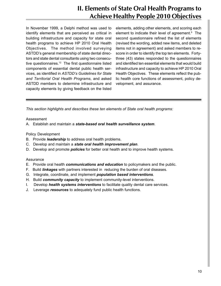### **II. Elements of State Oral Health Programs to Achieve Healthy People 2010 Objectives**

In November 1999, a Delphi method was used to identify elements that are perceived as critical in building infrastructure and capacity for state oral health programs to achieve HP 2010 Oral Health Objectives. The method involved surveying ASTDD's general membership of state dental directors and state dental consultants using two consecutive questionnaires.12 The first questionnaire listed components of essential dental public health services, as identified in *ASTDD's Guidelines for State and Territorial Oral Health Programs*, and asked ASTDD members to determine infrastructure and capacity elements by giving feedback on the listed

elements, adding other elements, and scoring each element to indicate their level of agreement.<sup>9</sup> The second questionnaire refined the list of elements (revised the wording, added new items, and deleted items not in agreement) and asked members to rescore in order to identify the top ten elements. Fortythree (43) states responded to the questionnaires and identified ten essential elements that would build infrastructure and capacity to achieve HP 2010 Oral Health Objectives. These elements reflect the public health core functions of assessment, policy development, and assurance.

*This section highlights and describes these ten elements of State oral health programs:*

#### Assessment

A. Establish and maintain a *state-based oral health surveillance system*.

#### Policy Development

- B. Provide *leadership* to address oral health problems.
- C. Develop and maintain a *state oral health improvement plan*.
- D. Develop and promote *policies* for better oral health and to improve health systems.

#### Assurance

- E. Provide oral health *communications and education* to policymakers and the public.
- F. Build *linkages* with partners interested in reducing the burden of oral diseases.
- G. Integrate, coordinate, and implement *population based interventions*.
- H. Build *community capacity* to implement community-level interventions.
- I. Develop *health systems interventions* to facilitate quality dental care services.
- J. Leverage *resources* to adequately fund public health functions.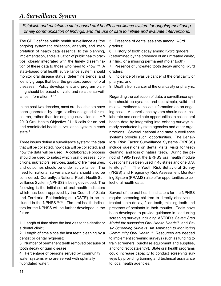### *A. Surveillance System*

*Establish and maintain a state-based oral health surveillance system for ongoing monitoring, timely communication of findings, and the use of data to initiate and evaluate interventions.*

The CDC defines public health surveillance as "the ongoing systematic collection, analysis, and interpretation of health data essential to the planning, implementation, and evaluation of public health practice, closely integrated with the timely dissemination of these data to those who need to know."13 A state-based oral health surveillance system should monitor oral disease status, determine trends, and identify groups that bear the greatest burden of oral diseases. Policy development and program planning should be based on valid and reliable surveillance information.<sup>14-17</sup>

In the past two decades, most oral health data have been generated by large studies designed for research, rather than for ongoing surveillance. HP 2010 Oral Health Objective 21-16 calls for an oral and craniofacial health surveillance system in each state.<sup>1</sup>

Three issues define a surveillance system: the data that will be collected, how data will be collected, and how the data will be used. A collaborative process should be used to select which oral diseases, conditions, risk factors, services, quality of life measures, and outcomes should be under surveillance. The need for national surveillance data should also be considered. Currently, a National Public Health Surveillance System (NPHSS) is being developed. The following is the initial set of oral health indicators which has been approved by the Council of State and Territorial Epidemiologists (CSTE) to be included in the NPHSS.<sup>18-19</sup> The oral health indicators for the NPHSS will be further developed in the future.

1. Length of time since the last visit to the dentist or a dental clinic;

2. Length of time since the last teeth cleaning by a dentist or dental hygienist;

3. Number of permanent teeth removed because of tooth decay or gum disease;

4. Percentage of persons served by community water systems who are served with optimally fluoridated water;

5. Presence of dental sealants among K-3rd graders;

6. History of tooth decay among K-3rd graders (determined by the presence of an untreated cavity, a filling, or a missing permanent molar tooth);

7. Presence of untreated tooth decay among K-3rd graders;

8. Incidence of invasive cancer of the oral cavity or pharynx; and

9. Deaths from cancer of the oral cavity or pharynx.

Regarding the collection of data, a surveillance system should be dynamic and use simple, valid and reliable methods to collect information on an ongoing basis. A surveillance system should seek, collaborate and coordinate opportunities to collect oral health data by integrating into existing surveys already conducted by state agencies and other organizations. Several national and state surveillance systems provide such opportunities. The Behavioral Risk Factor Surveillance Systems (BRFSS) include questions on dental visits, visits for teeth cleaning, and loss of natural teeth. During the period of 1995-1998, the BRFSS oral health module questions have been used in 48 states and one U.S. territory.20-21 The Youth Risk Behavioral Survey (YRBS) and Pregnancy Risk Assessment Monitoring System (PRAMS) also offer opportunities to collect oral health data.

Several of the oral health indicators for the NPHSS require screening children to directly observe untreated tooth decay, filled teeth, missing teeth and presence of sealants in their mouths. Tools have been developed to provide guidance in conducting screening surveys including ASTDD's *Seven Step* Model for Assessing Oral Health Needs<sup>22</sup> and Ba*sic Screening Surveys: An Approach to Monitoring Community Oral Health*. 23 Resources are needed to implement screening surveys (such as funding to train screeners, purchase equipment and supplies, and for direct data entry). State oral health programs could increase capacity to conduct screening surveys by providing training and technical assistance to local health agencies.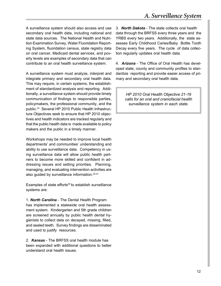A surveillance system should also access and use secondary oral health data, including national and state data sources. The National Health and Nutrition Examination Survey, Water Fluoridation Reporting System, fluoridation census, state registry data on oral cancer, Medicaid dental services, and poverty levels are examples of secondary data that can contribute to an oral health surveillance system.

A surveillance system must analyze, interpret and integrate primary and secondary oral health data. This may require, in certain systems, the establishment of standardized analysis and reporting. Additionally, a surveillance system should provide timely communication of findings to responsible parties, policymakers, the professional community, and the public.24 Several HP 2010 Public Health Infrastructure Objectives seek to ensure that HP 2010 objectives and health indicators are tracked regularly and that the public health data is made available to policy makers and the public in a timely manner.

Workshops may be needed to improve local health departments' and communities' understanding and ability to use surveillance data. Competency in using surveillance data will allow public health partners to become more skilled and confident in addressing issues and setting priorities. Planning, managing, and evaluating intervention activities are also guided by surveillance information.25-27

Examples of state efforts<sup>28</sup> to establish surveillance systems are:

1. *North Carolina* - The Dental Health Program has implemented a statewide oral health assessment system. Kindergarten and 5th grade children are screened annually by public health dental hygienists to collect data on decayed, missing, filled, and sealed teeth. Survey findings are disseminated and used to justify resources.

2. *Kansas* - The BRFSS oral health module has been expanded with additional questions to better understand oral health issues.

3. *North Dakota* - The state collects oral health data through the BRFSS every three years and the YRBS every two years. Additionally, the state assesses Early Childhood Caries/Baby Bottle Tooth Decay every five years. The cycle of data collection regularly updates oral health data.

4. *Arizona* - The Office of Oral Health has developed state, county and community profiles to standardize reporting and provide easier access of primary and secondary oral health data.

> *HP 2010 Oral Health Objective 21-16 calls for an oral and craniofacial health surveillance system in each state.*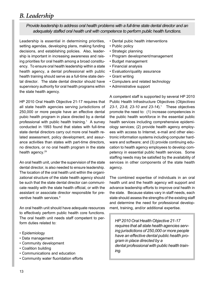### *B. Leadership*

### *Provide leadership to address oral health problems with a full-time state dental director and an adequately staffed oral health unit with competence to perform public health functions.*

Leadership is essential in determining priorities, setting agendas, developing plans, making funding decisions, and establishing policies. Also, leadership is important in increasing awareness and raising priorities for oral health among a broad constituency. To ensure oral health leadership within a state health agency, a dental professional with public health training should serve as a full-time state dental director. The state dental director should have supervisory authority for oral health programs within the state health agency.

HP 2010 Oral Health Objective 21-17 requires that all state health agencies serving jurisdictions of 250,000 or more people have an effective dental pubic health program in place directed by a dental professional with public health training.1 A survey conducted in 1993 found that states with full-time state dental directors carry out more oral health related assessment, policy development, and assurance activities than states with part-time directors, no directors, or no oral health program in the state health agency.<sup>29</sup>

An oral health unit, under the supervision of the state dental director, is also needed to ensure leadership. The location of the oral health unit within the organizational structure of the state health agency should be such that the state dental director can communicate readily with the state health official, or with the assistant or associate director responsible for preventive health services.9

An oral health unit should have adequate resources to effectively perform public health core functions. The oral health unit needs staff competent to perform duties related to:

- Epidemiology
- Data management
- Community development
- Coalition building
- Communications and education
- Community water fluoridation efforts
- Dental pubic health interventions
- Public policy
- Strategic planning
- Program development/management
- Budget management
- Financial analysis
- Evaluation/quality assurance
- Grant writing
- Computers and related technology
- Administrative support

A competent staff is supported by several HP 2010 Public Health Infrastructure Objectives (*Objectives* 23-1, 23-8, 23-10 and 23-14).<sup>1</sup> These objectives promote the need to: (1) increase competencies in the public health workforce in the essential public health services including comprehensive epidemiology services; (2) provide health agency employees with access to Internet, e-mail and other electronic information systems including computer hardware and software; and (3) provide continuing education to health agency employees to develop competency in essential public health services. Some staffing needs may be satisfied by the availability of services in other components of the state health agency.

The combined expertise of individuals in an oral health unit and the health agency will support and advance leadership efforts to improve oral health in the state. Because states vary in staff needs, each state should assess the strengths of the existing staff and determine the need for professional development, training, and/or additional expertise.

*HP 2010 Oral Health Objective 21-17 requires that all state health agencies serving jurisdictions of 250,000 or more people have an effective dental public health program in place directed by a dental professional with public health training.*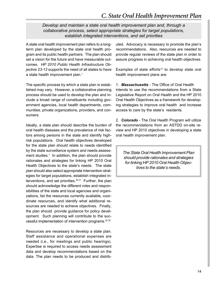### *C. State Oral Health Improvement Plan*

*Develop and maintain a state oral health improvement plan and, through a collaborative process, select appropriate strategies for target populations, establish integrated interventions, and set priorities*

A state oral health improvement plan refers to a longterm plan developed by the state oral health program and its public health partners. The plan should set a vision for the future and have measurable outcomes. *HP 2010 Public Health Infrastructure Objective 23-12* supports the need of all states to have a state health improvement plan.<sup>1</sup>

The specific process by which a state plan is established may vary. However, a collaborative planning process should be used to develop the plan and include a broad range of constituents including government agencies, local health departments, communities, private organizations, providers, and consumers.

Ideally, a state plan should describe the burden of oral health diseases and the prevalence of risk factors among persons in the state and identify highrisk populations. Oral health objectives developed for the state plan should relate to needs identified by the state surveillance system and needs assessment studies.<sup>1</sup> In addition, the plan should provide rationales and strategies for linking HP 2010 Oral Health Objectives to the state's needs. The state plan should also select appropriate intervention strategies for target populations, establish integrated interventions, and set priorities.30-31 Further, the plan should acknowledge the different roles and responsibilities of the state and local agencies and organizations, list the resources currently available, coordinate resources, and identify what additional resources are needed to achieve objectives. Finally, the plan should provide guidance for policy development. Such planning will contribute to the successful implementation of intervention programs.32-33

Resources are necessary to develop a state plan. Staff assistance and operational expenses are needed (i.e., for meetings and public hearings). Expertise is required to access needs assessment data and develop recommendations based on the data. The plan needs to be produced and distributed. Advocacy is necessary to promote the plan's recommendations. Also, resources are needed to provide regular reviews of the state plan in order to assure progress in achieving oral health objectives.

Examples of state efforts<sup>12</sup> to develop state oral health improvement plans are:

1. *Massachusetts* - The Office of Oral Health intends to use the recommendations from a State Legislative Report on Oral Health and the HP 2010 Oral Health Objectives as a framework for developing strategies to improve oral health and increase access to care by the state's residents.

2. *Colorado* - The Oral Health Program will utilize the recommendations from an ASTDD on-site review and HP 2010 objectives in developing a state oral health improvement plan.

*The State Oral Heatlh Improvement Plan should provide rationales and strategies for linking HP 2010 Oral Health Objectives to the state's needs.*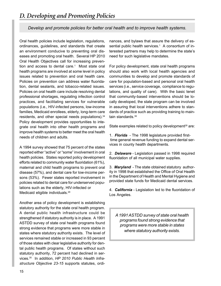*Develop and promote policies for better oral health and to improve health systems.*

Oral health policies include legislation, regulations, ordinances, guidelines, and standards that create an environment conducive to preventing oral diseases and promoting oral health. Several HP 2010 Oral Health Objectives call for increasing prevention and access to dental care.<sup>1</sup> Most state oral health programs are involved at some level in policy issues related to prevention and oral health care. Policies on prevention can address water fluoridation, dental sealants, and tobacco-related issues. Policies on oral health care include resolving dental professional shortages, regulating infection control practices, and facilitating services for vulnerable populations (i.e., HIV-infected persons, low-income families, Medicaid enrollees, elderly, long-term care residents, and other special needs populations).<sup>34</sup> Policy development provides opportunities to integrate oral health into other health programs and improve health systems to better meet the oral health needs of children and adults.

A 1994 survey showed that 75 percent of the states reported either "active" or "some" involvement in oral health policies. States reported policy development efforts related to community water fluoridation (61%), maternal and child health programs to prevent oral disease (57%), and dental care for low-income persons (53%). Fewer states reported involvement in policies related to dental care for underserved populations such as the elderly, HIV-infected or Medicaid eligible individuals.<sup>29</sup>

Another area of policy development is establishing statutory authority for the state oral health program. A dental public health infrastructure could be strengthened if statutory authority is in place. A 1991 ASTDD survey of state oral health programs found strong evidence that programs were more stable in states where statutory authority exists. The level of services remained stable or increased in 93 percent of those states with clear legislative authority for dental public health programs. Of states without such statutory authority, 72 percent had declined in services.35 In addition, *HP 2010 Public Health Infrastructure Objective 23-15* supports statutes, ordinances, and bylaws that assure the delivery of essential public health services.<sup>1</sup> A consortium of interested partners may help to determine the state's need for such legislative mandates.

For policy development, state oral health programs should also work with local health agencies and communities to develop and promote standards of care for population-based and personal oral health services (i.e., service coverage, compliance to regulations, and quality of care). With the basic tenet that community-based interventions should be locally developed, the state program can be involved in assuring that local interventions adhere to standards of practice such as providing training to maintain standards.<sup>36</sup>

State examples related to policy development<sup>28</sup> are:

1. *Florida* - The 1998 legislature provided first time general revenue funding to expand dental services in county health departments.

2. *Delaware* - Legislation passed in 1998 required fluoridation of all municipal water supplies.

3. *Maryland* - The state obtained statutory authority in 1998 that established the Office of Oral Health in the Department of Health and Mental Hygiene and provided state funds for Medicaid dental services.

4. *California* - Legislation led to the fluoridation of Los Angeles.

*A 1991 ASTDD survey of state oral health programs found strong evidence that programs were more stable in states where statutory authority exists.*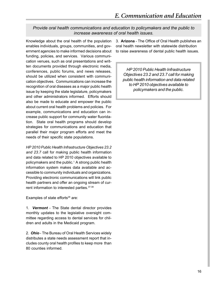### *Provide oral health communications and education to policymakers and the public to increase awareness of oral health issues.*

Knowledge about the oral health of the population enables individuals, groups, communities, and government agencies to make informed decisions about funding, policies, and services. Various communication venues, such as oral presentations and written documents provided through electronic media, conferences, public forums, and news releases, should be utilized when consistent with communication objectives. Communications can increase the recognition of oral diseases as a major public health issue by keeping the state legislature, policymakers and other administrators informed. Efforts should also be made to educate and empower the public about current oral health problems and policies. For example, communications and education can increase public support for community water fluoridation. State oral health programs should develop strategies for communications and education that parallel their major program efforts and meet the needs of their specific state populations.

*HP 2010 Public Health Infrastructure Objectives 23.2 and 23.7* call for making public health information and data related to HP 2010 objectives available to policymakers and the public.<sup>1</sup> A strong public health information system makes data available and accessible to community individuals and organizations. Providing electronic communications will link public health partners and offer an ongoing stream of current information to interested parties.<sup>37-38</sup>

Examples of state efforts<sup>28</sup> are:

1. *Vermont* - The State dental director provides monthly updates to the legislative oversight committee regarding access to dental services for children and adults in the Medicaid program.

2. *Ohio* - The Bureau of Oral Health Services widely distributes a state needs assessment report that includes county oral health profiles to keep more than 80 counties informed.

3. **Arizona** - The Office of Oral Health publishes an oral health newsletter with statewide distribution to raise awareness of dental public health issues.

*HP 2010 Public Health Infrastructure Objectives 23.2 and 23.7 call for making public health information and data related to HP 2010 objectives available to policymakers and the public.*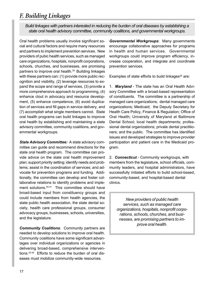### *F. Building Linkages*

*Build linkages with partners interested in reducing the burden of oral diseases by establishing a state oral health advisory committee, community coalitions, and governmental workgroups.*

Oral health problems usually involve significant social and cultural factors and require many resources and partners to implement prevention services. New providers of pubic health services, such as managed care organizations, hospitals, nonprofit corporations, schools, churches, and businesses, are promising partners to improve oral health.39 Building linkages with these partners can: (1) provide more public recognition and visibility, (2) leverage resources to expand the scope and range of services, (3) provide a more comprehensive approach to programming, (4) enhance clout in advocacy and resource development, (5) enhance competence, (6) avoid duplication of services and fill gaps in service delivery, and (7) accomplish what single members cannot. State oral health programs can build linkages to improve oral health by establishing and maintaining a state advisory committee, community coalitions, and governmental workgroups.

*State Advisory Committee:* A state advisory committee can guide and recommend directions for the state oral health program. The committee can provide advice on the state oral health improvement plan; support priority setting; identify needs and problems; assist in the coordination of services; and advocate for prevention programs and funding. Additionally, the committee can develop and foster collaborative relations to identify problems and implement solutions.<sup>40-41</sup> This committee should have broad-based input from constituency groups and could include members from health agencies, the state public health association, the state dental society, health care professional groups, consumer advocacy groups, businesses, schools, universities, and the legislature.

*Community Coalitions*: Community partners are needed to develop solutions to improve oral health. Community coalitions have some significant advantages over individual organizations or agencies in delivering broad-based, comprehensive interventions.42-45 Efforts to reduce the burden of oral diseases must mobilize community-wide resources.

*Governmental Workgroups*: Many governments encourage collaborative approaches for programs in health and human services. Governmental workgroups could improve program efficiency, increase cooperation, and integrate and coordinate prevention services.

Examples of state efforts to build linkages $28$  are:

1. *Maryland* - The state has an Oral Health Advisory Committee with a broad-based representation of constituents. The committee is a partnership of managed care organizations; dental managed care organizations; Medicaid; the Deputy Secretary for Health Care Policy, Finance & Regulation; Office of Oral Health; University of Maryland at Baltimore Dental School; local health departments; professional dental organizations; private dental practitioners; and the public. The committee has identified issues and developed strategies to improve provider participation and patient care in the Medicaid program.

2. *Connecticut* - Community workgroups, with members from the legislature, school officials, community leaders, and hospital administrators, have successfully initiated efforts to build school-based, community-based, and hospital-based dental clinics.

*New providers of public health services, such as managed care organizations, hospitals, nonprofit corporations, schools, churches, and businesses, are promising partners to improve oral health.*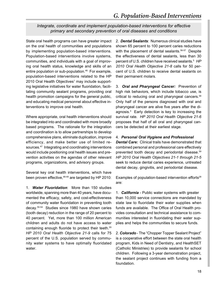*Integrate, coordinate and implement population-based interventions for effective primary and secondary prevention of oral diseases and conditions*

State oral health programs can have greater impact on the oral health of communities and populations by implementing population-based interventions. Population-based interventions involve systems, communities, and individuals with a goal of improving oral health status, knowledge and skills of an entire population or sub-population.<sup>46</sup> For example, population-based interventions related to the HP 2010 Oral Health Objectives<sup>1</sup> may include supporting legislative initiatives for water fluoridation, facilitating community sealant programs, providing oral health promotion campaigns for the general public, and educating medical personnel about effective interventions to improve oral health.

Where appropriate, oral health interventions should be integrated into and coordinated with more broadly based programs. The rationale for the integration and coordination is to allow partnerships to develop comprehensive plans, eliminate duplication, improve efficiency, and make better use of limited resources.47 Integrating and coordinating interventions would include positioning oral health issues and prevention activities on the agendas of other relevant programs, organizations, and advisory groups.

Several key oral health interventions, which have been proven effective, <sup>48-49</sup> are targeted by HP 2010:

1. *Water Fluoridation*: More than 150 studies worldwide, spanning more than 40 years, have documented the efficacy, safety, and cost-effectiveness of community water fluoridation in preventing tooth decay.50-54 Studies since 1980 have shown caries (tooth decay) reduction in the range of 20 percent to 40 percent. Yet, more than 100 million American children and adults do not have access to water containing enough fluoride to protect their teeth.<sup>55</sup> *HP 2010 Oral Health Objective 21-9* calls for 75 percent of the U.S. population served by community water systems to have optimally fluoridated water.

2. *Dental Sealants*: Numerous clinical studies have shown 65 percent to 100 percent caries reductions with the placement of dental sealants.<sup>56-57</sup> Despite the effectiveness of dental sealants, less than 30 percent of U.S. children have received sealants.5 *HP 2010 Oral Health Objective 21-8* calls for 50 percent of U.S. children to receive dental sealants on their permanent molars.

3. *Oral and Pharyngeal Cancer:* Prevention of high risk behaviors, which include tobacco use, is critical to reducing oral and pharyngeal cancers.<sup>58</sup> Only half of the persons diagnosed with oral and pharyngeal cancer are alive five years after the diagnosis.3 Early detection is key to increasing the survival rate. *HP 2010 Oral Health Objective 21-6* proposes that half of all oral and pharyngeal cancers be detected at their earliest stage.

#### 4. *Personal Oral Hygiene and Professional*

*Dental Care:* Clinical trails have demonstrated that combined personal and professional care effectively prevented tooth decay and periodontal disease.59 *HP 2010 Oral Health Objectives 21-1 through 21-5* seek to reduce dental caries experience, untreated dental decay, gingivitis, and periodontal disease.

Examples of population-based intervention efforts<sup>28</sup> are:

1. *California* - Public water systems with greater than 10,000 service connections are mandated by state law to fluoridate their water supplies when funds are available. The Office of Oral Health provides consultation and technical assistance to communities interested in fluoridating their water supplies and helps the communities to secure funds.

2. *Colorado* - The "Chopper Topper Sealant Project" is a cooperative effort between the state oral health program, Kids in Need of Dentistry, and HealthSET (Catholic Ministries) to provide sealants for school children. Following a 3-year demonstration project, the sealant project continues with funding from a foundation.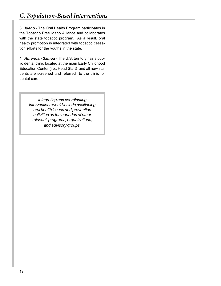3. *Idaho* - The Oral Health Program participates in the Tobacco Free Idaho Alliance and collaborates with the state tobacco program. As a result, oral health promotion is integrated with tobacco cessation efforts for the youths in the state.

4. *American Samoa* - The U.S. territory has a public dental clinic located at the main Early Childhood Education Center (i.e., Head Start) and all new students are screened and referred to the clinic for dental care.

> *Integrating and coordinating interventions would include positioning oral health issues and prevention activities on the agendas of other relevant programs, organizations, and advisory groups.*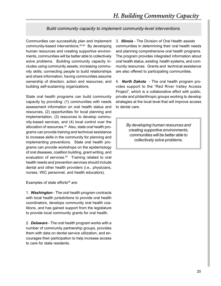### *Build community capacity to implement community-level interventions.*

Communities can successfully plan and implement community-based interventions.60-64 By developing human resources and creating supportive environments, communities will be better able to collectively solve problems. Building community capacity includes using community assets; increasing community skills; connecting people to build relationships and share information; having communities assume ownership of direction, action and resources; and building self-sustaining organizations.

State oral health programs can build community capacity by providing: (1) communities with needs assessment information on oral health status and resources, (2) opportunities for local planning and implementation, (3) resources to develop community-based services, and (4) local control over the allocation of resources.<sup>60</sup> Also, state oral health programs can provide training and technical assistance to increase skills in the community for planning and implementing preventions. State oral health programs can provide workshops on the epidemiology of oral diseases, coalition building, grant writing, and evaluation of services.<sup>65</sup> Training related to oral health needs and prevention services should include dental and other health providers (i.e., physicians, nurses, WIC personnel, and health educators).

Examples of state efforts<sup>28</sup> are:

1. *Washington* - The oral health program contracts with local health jurisdictions to provide oral health coordinators, develops community oral health coalitions, and has gained support from the legislature to provide local community grants for oral health.

2. *Delaware* - The oral health program works with a number of community partnership groups, provides them with data on dental service utilization, and encourages their participation to help increase access to care for state residents.

3. *Illinois* - The Division of Oral Health assists communities in determining their oral health needs and planning comprehensive oral health programs. The program provides integrated information about oral health status, existing health systems, and community resources. Grants and technical assistance are also offered to participating communities.

4. *North Dakota* - The oral health program provides support to the "Red River Valley Access Project", which is a collaborative effort with public, private and philanthropic groups working to develop strategies at the local level that will improve access to dental care.

> *By developing human resources and creating supportive environments, communities will be better able to collectively solve problems.*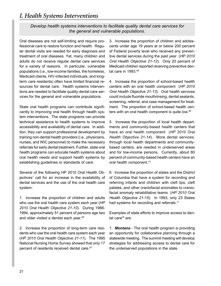### *I. Health Systems Interventions*

*Develop health systems interventions to facilitate quality dental care services for the general and vulnerable populations.*

Oral diseases are not self-limiting and require professional care to restore function and health. Regular dental visits are needed for early diagnosis and treatment of oral diseases. Yet, many children and adults do not receive regular dental care services for a variety of reasons. In particular, vulnerable populations (i.e., low-income families, the homeless, Medicaid clients, HIV-infected individuals, and longterm care residents) often have limited financial resources for dental care. Health systems interventions are needed to facilitate quality dental care services for the general and vulnerable populations.

State oral health programs can contribute significantly to improving oral health through health system interventions. The state programs can provide technical assistance to health systems to improve accessibility and availability of dental care. In addition, they can support professional development by training non-dental health providers (i.e., physicians, nurses, and WIC personnel) to make the necessary referrals for early dental treatment. Further, state oral health programs can educate health systems about oral health needs and support health systems by establishing guidelines or standards of care.

Several of the following HP 2010 Oral Health Objectives<sup>1</sup> call for an increase in the availability of dental services and the use of the oral health care system:

1. Increase the proportion of children and adults who use the oral health care system each year (*HP 2010 Oral Health Objective 21-10*). During 1988- 1994, approximately 51 percent of persons age two and older visited a dentist each year.<sup>66</sup>

2. Increase the proportion of long-term care residents who use the oral health care system each year (*HP 2010 Oral Health Objective 21-11*). The 1995 National Nursing Home Survey showed that only 17 percent of residents received dental care.<sup>67</sup>

3. Increase the proportion of children and adolescents under age 19 years at or below 200 percent of Federal poverty level who received any preventive dental services during the past year (*HP 2010 Oral Health Objective 21-12*). Only 20 percent of Medicaid children reported receiving preventive dental care in 1993.<sup>68</sup>

4. Increase the proportion of school-based health centers with an oral health component (*HP 2010 Oral Health Objective 21-13*). Oral health services could include fluoride mouthrinsing, dental sealants, screening, referral, and case management for treatment. The proportion of school-based health centers with an oral health component is quite low.<sup>69</sup>

5. Increase the proportion of local health departments and community-based health centers that have an oral health component (*HP 2010 Oral Health Objective 21-14*). More dental services, through local health departments and communitybased centers, are needed in underserved areas and for low-income persons. Currently, about 60 percent of community-based health centers have an oral health component.<sup>70</sup>

6. Increase the proportion of states and the District of Columbia that have a system for recording and referring infants and children with cleft lips, cleft palates, and other craniofacial anomalies to craniofacial anomaly rehabilitative teams (*HP 2010 Oral Health Objective 21-15*). In 1993, only 23 States had systems for recording and referrals.<sup>71</sup>

Examples of state efforts to improve access to dental care<sup>28</sup> are:

1. *Montana* - The oral health program is providing an opportunity for collaborative planning through a statewide meeting. The summit meeting will develop strategies for addressing access to dental care for the underserved populations in the state.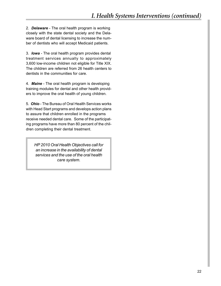2. *Delaware* - The oral health program is working closely with the state dental society and the Delaware board of dental licensing to increase the number of dentists who will accept Medicaid patients.

3. *Iowa* - The oral health program provides dental treatment services annually to approximately 3,600 low-income children not eligible for Title XIX. The children are referred from 26 health centers to dentists in the communities for care.

4. *Maine* - The oral health program is developing training modules for dental and other health providers to improve the oral health of young children.

5. *Ohio* - The Bureau of Oral Health Services works with Head Start programs and develops action plans to assure that children enrolled in the programs receive needed dental care. Some of the participating programs have more than 80 percent of the children completing their dental treatment.

*HP 2010 Oral Health Objectives call for an increase in the availability of dental services and the use of the oral health care system.*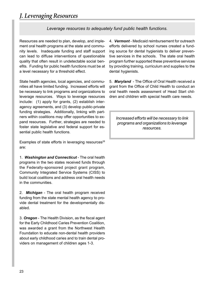### *J. Leveraging Resources*

*Leverage resources to adequately fund public health functions.*

Resources are needed to plan, develop, and implement oral health programs at the state and community levels. Inadequate funding and staff support can lead to diffuse interventions of questionable quality that often result in undetectable social benefits. Funding for public health functions must be at a level necessary for a threshold effect.

State health agencies, local agencies, and communities all have limited funding. Increased efforts will be necessary to link programs and organizations to leverage resources. Ways to leverage resources include: (1) apply for grants, (2) establish interagency agreements, and (3) develop public-private funding strategies. Additionally, linking with partners within coalitions may offer opportunities to expand resources. Further, strategies are needed to foster state legislative and federal support for essential public health functions.

Examples of state efforts in leveraging resources $28$ are:

1. *Washington and Connecticut* - The oral health programs in the two states received funds through the Federally-sponsored project grant program, Community Integrated Service Systems (CISS) to build local coalitions and address oral health needs in the communities.

2. *Michigan* - The oral health program received funding from the state mental health agency to provide dental treatment for the developmentally disabled.

3. *Oregon* - The Health Division, as the fiscal agent for the Early Childhood Caries Prevention Coalition, was awarded a grant from the Northwest Health Foundation to educate non-dental health providers about early childhood caries and to train dental providers on management of children ages 1-3.

4. *Vermont* - Medicaid reimbursement for outreach efforts delivered by school nurses created a funding source for dental hygienists to deliver preventive services in the schools. The state oral health program further supported these preventive services by providing training, curriculum and supplies to the dental hygienists.

5. *Maryland* - The Office of Oral Health received a grant from the Office of Child Health to conduct an oral health needs assessment of Head Start children and children with special health care needs.

*Increased efforts will be necessary to link programs and organizations to leverage resources.*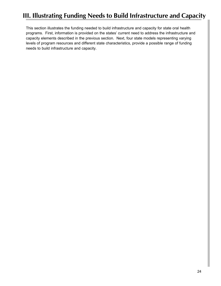# **III. Illustrating Funding Needs to Build Infrastructure and Capacity**

This section illustrates the funding needed to build infrastructure and capacity for state oral health programs. First, information is provided on the states' current need to address the infrastructure and capacity elements described in the previous section. Next, four state models representing varying levels of program resources and different state characteristics, provide a possible range of funding needs to build infrastructure and capacity.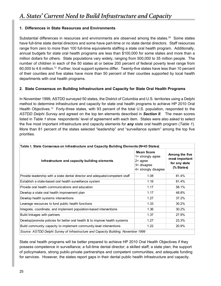### **1. Differences in State Resources and Environments**

Substantial differences in resources and environments are observed among the states.<sup>28</sup> Some states have full-time state dental directors and some have part-time or no state dental directors. Staff resources range from zero to more than 100 full-time equivalents staffing a state oral health program. Additionally, annual budgets for state oral health programs are less than \$100,000 for some states and more than a million dollars for others. State populations vary widely, ranging from 500,000 to 35 million people. The number of children in each of the 50 states at or below 200 percent of federal poverty level range from 60,000 to 4.6 million.72 Further, local support systems differ. Twenty-five states have less than 10 percent of their counties and five states have more than 50 percent of their counties supported by local health departments with oral health programs.

### **2. State Consensus on Building Infrastructure and Capacity for State Oral Health Programs**

In November 1999, ASTDD surveyed 50 states, the District of Columbia and U.S. territories using a Delphi method to determine infrastructure and capacity for state oral health programs to achieve HP 2010 Oral Health Objectives.<sup>12</sup> Forty-three states, with 93 percent of the total U.S. population, responded to the *ASTDD Delphi Survey* and agreed on the top ten elements described in *Section II*. The mean scores listed in *Table 1* show respondents' level of agreement with each item. States were also asked to select the five most important infrastructure and capacity elements for *any* state oral health program (*Table 1*). More than 81 percent of the states selected "leadership" and "surveillance system" among the top five priorities.

| Table I. State Consensus on Infrastructure and Capacity Building Elements (N=43 States) |                                                                                                     |                                                                 |  |  |  |
|-----------------------------------------------------------------------------------------|-----------------------------------------------------------------------------------------------------|-----------------------------------------------------------------|--|--|--|
| Infrastructure and capacity building elements                                           | <b>Mean Score</b><br>1= strongly agree<br>$2 = \text{agree}$<br>3= disagree<br>4= strongly disagree | Among the five<br>most important<br>for any state<br>(% States) |  |  |  |
| Provide leadership with a state dental director and adequate/competent staff            | 1.08                                                                                                | 81.4%                                                           |  |  |  |
| Establish a state-based oral health surveillance system                                 | 1.16                                                                                                | 81.4%                                                           |  |  |  |
| Provide oral health communications and education                                        | 1.17                                                                                                | 58.1%                                                           |  |  |  |
| Develop a state oral health improvement plan                                            | 1.17                                                                                                | 48.8%                                                           |  |  |  |
| Develop health systems interventions                                                    | 1.27                                                                                                | 37.2%                                                           |  |  |  |
| Leverage resources to fund public health functions                                      | 1.33                                                                                                | 30.2%                                                           |  |  |  |
| Integrate, coordinate, and implement population-based interventions                     | 1.36                                                                                                | 30.2%                                                           |  |  |  |
| Build linkages with partners                                                            | 1.37                                                                                                | 27.9%                                                           |  |  |  |
| Develop/promote policies for better oral health & to improve health systems             | 1.27                                                                                                | 23.3%                                                           |  |  |  |
| Build community capacity to implement community-level interventions                     | 1.22                                                                                                | 20.9%                                                           |  |  |  |
| Source: ASTDD Delphi Survey of Infrastructure and Capacity Building, November 1999      |                                                                                                     |                                                                 |  |  |  |

State oral health programs will be better prepared to achieve HP 2010 Oral Health Objectives if they possess competence in surveillance; a full-time dental director; a skilled staff; a state plan; the support of policymakers, strong public-private partnerships and competent communities; and adequate funding for services. However, the states report gaps in their dental public health infrastructure and capacity.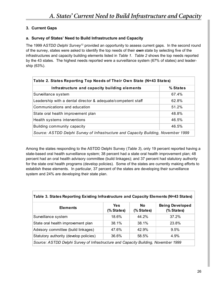### **3. Current Gaps**

### **a. Survey of States' Need to Build Infrastructure and Capacity**

The 1999 A*STDD Delphi Survey*12 provided an opportunity to assess current gaps. In the second round of the survey, states were asked to identify the top needs of their *own* state by selecting five of the infrastructures and capacity building elements listed in *Table 1*. *Table 2* shows the top needs reported by the 43 states. The highest needs reported were a surveillance system (67% of states) and leadership (63%).

| Table 2. States Reporting Top Needs of Their Own State (N=43 States)               |          |  |  |  |
|------------------------------------------------------------------------------------|----------|--|--|--|
| Infrastructure and capacity building elements                                      | % States |  |  |  |
| Surveillance system                                                                | 67.4%    |  |  |  |
| Leadership with a dental director & adequate/competent staff                       | 62.8%    |  |  |  |
| Communications and education                                                       | 51.2%    |  |  |  |
| State oral health improvement plan                                                 | 48.8%    |  |  |  |
| Health systems interventions                                                       | 46.5%    |  |  |  |
| Building community capacity                                                        | 46.5%    |  |  |  |
| Source: ASTDD Delphi Survey of Infrastructure and Capacity Building, November 1999 |          |  |  |  |

Among the states responding to the ASTDD Delphi Survey (*Table 3*), only 19 percent reported having a state-based oral health surveillance system; 38 percent had a state oral health improvement plan; 48 percent had an oral health advisory committee (build linkages); and 37 percent had statutory authority for the state oral health programs (develop policies). Some of the states are currently making efforts to establish these elements. In particular, 37 percent of the states are developing their surveillance system and 24% are developing their state plan.

| Table 3. States Reporting Existing Infrastructure and Capacity Elements (N=43 States) |                          |                         |                                      |  |  |
|---------------------------------------------------------------------------------------|--------------------------|-------------------------|--------------------------------------|--|--|
| <b>Elements</b>                                                                       | <b>Yes</b><br>(% States) | <b>No</b><br>(% States) | <b>Being Developed</b><br>(% States) |  |  |
| Surveillance system                                                                   | 18.6%                    | 44.2%                   | 37.2%                                |  |  |
| State oral health improvement plan                                                    | 38.1%                    | 38.1%                   | 23.8%                                |  |  |
| Advisory committee (build linkages)                                                   | 47.6%                    | 42.9%                   | 9.5%                                 |  |  |
| Statutory authority (develop policies)                                                | 36.6%                    | 58.5%                   | 4.9%                                 |  |  |
| Source: ASTDD Delphi Survey of Infrastructure and Capacity Building, November 1999    |                          |                         |                                      |  |  |

#### **Table 3. States Reporting Existing Infrastructure and Capacity Elements (N=43 States)**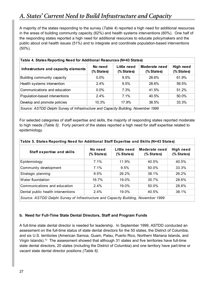## *A. States' Current Need to Build Infrastructure and Capacity*

A majority of the states responding to the survey (*Table 4*) reported a high need for additional resources in the areas of building community capacity (62%) and health systems interventions (60%). One half of the responding states reported a high need for additional resources to educate policymakers and the public about oral health issues (51%) and to integrate and coordinate population-based interventions (50%).

| Table 4. States Reporting Need for Additional Resources (N=43 States)              |                       |                           |                             |                                |  |
|------------------------------------------------------------------------------------|-----------------------|---------------------------|-----------------------------|--------------------------------|--|
| Infrastructure and capacity elements                                               | No need<br>(% States) | Little need<br>(% States) | Moderate need<br>(% States) | <b>High need</b><br>(% States) |  |
| Building community capacity                                                        | $0.0\%$               | 9.5%                      | 28.6%                       | 61.9%                          |  |
| Health systems intervention                                                        | $2.4\%$               | 9.5%                      | 28.6%                       | 59.5%                          |  |
| Communications and education                                                       | $0.0\%$               | 7.3%                      | 41.5%                       | 51.2%                          |  |
| Population-based interventions                                                     | $2.4\%$               | $7.1\%$                   | 40.5%                       | 50.0%                          |  |
| Develop and promote policies                                                       | 10.3%                 | 17.9%                     | 38.5%                       | 33.3%                          |  |
| Source: ASTDD Delphi Survey of Infrastructure and Capacity Building, November 1999 |                       |                           |                             |                                |  |

For selected categories of staff expertise and skills, the majority of responding states reported moderate to high needs *(Table 5)*. Forty percent of the states reported a high need for staff expertise related to epidemiology.

| Table 5. States Reporting Need for Additional Staff Expertise and Skills (N=43 States) |                       |                           |                             |                         |  |
|----------------------------------------------------------------------------------------|-----------------------|---------------------------|-----------------------------|-------------------------|--|
| <b>Staff expertise and skills</b>                                                      | No need<br>(% States) | Little need<br>(% States) | Moderate need<br>(% States) | High need<br>(% States) |  |
| Epidemiology                                                                           | $7.1\%$               | 11.9%                     | 40.5%                       | 40.5%                   |  |
| Community development                                                                  | 7.1%                  | 9.5%                      | 50.0%                       | 33.3%                   |  |
| Strategic planning                                                                     | 9.5%                  | 26.2%                     | 38.1%                       | 26.2%                   |  |
| Water fluoridation                                                                     | 16.7%                 | 19.0%                     | 35.7%                       | 28.6%                   |  |
| Communications and education                                                           | $2.4\%$               | 19.0%                     | 50.0%                       | 28.6%                   |  |
| Dental public health interventions                                                     | 2.4%                  | 19.0%                     | 40.5%                       | 38.1%                   |  |
| Source: ASTDD Delphi Survey of Infrastructure and Capacity Building, November 1999     |                       |                           |                             |                         |  |

### **b. Need for Full-Time State Dental Directors, Staff and Program Funds**

A full-time state dental director is needed for leadership. In September 1999, ASTDD conducted an assessment on the full-time status of state dental directors for the 50 states, the District of Columbia, and six U.S. territories (American Samoa, Guam, Palau, Puerto Rico, Northern Mariana Islands, and Virgin Islands).73 The assessment showed that although 31 states and five territories have full-time state dental directors, 20 states (including the District of Columbia) and one territory have part-time or vacant state dental director positions *(Table 6)*.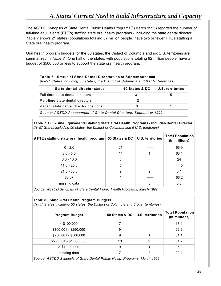The ASTDD Synopsis of State Dental Public Health Programs<sup>28</sup> (March 1999) reported the number of full-time equivalents (FTE's) staffing state oral health programs - including the state dental director. *Table 7* shows 21 states (populations totaling 67 million people) have two or fewer FTE's staffing a State oral health program.

Oral health program budgets for the 50 states, the District of Columbia and six U.S. territories are summarized in *Table 8*. One half of the states, with populations totaling 92 million people, have a budget of \$500,000 or less to support the state oral health program.

| Table 6. Status of State Dental Directors as of September 1999<br>(N=57 States including 50 states, the District of Columbia and 6 U.S. territories) |                |                  |  |  |  |
|------------------------------------------------------------------------------------------------------------------------------------------------------|----------------|------------------|--|--|--|
| State dental director status                                                                                                                         | 50 States & DC | U.S. territories |  |  |  |
| Full-time state dental directors                                                                                                                     | 31             | 5                |  |  |  |
| Part-time state dental directors                                                                                                                     | 12             |                  |  |  |  |
| Vacant state dental director positions                                                                                                               | 8              |                  |  |  |  |
| Source: ASTDD Assessment of State Dental Directors, September 1999                                                                                   |                |                  |  |  |  |

**Table 7. Full-Time Equivalents Staffing State Oral Health Programs - Includes Dental Director**  *(N=57 States including 50 states, the District of Columbia and 6 U.S. territories)*

|    | <b>Total Population</b><br>(in millions)        |
|----|-------------------------------------------------|
|    | 66.9                                            |
|    | 63.1                                            |
|    | 24                                              |
|    | 44.5                                            |
| 2  | 3.1                                             |
|    | 66.2                                            |
| 3  | 3.8                                             |
| 21 | <b>U.S. territories</b><br>50 States & DC<br>14 |

*Source: ASTDD Synopsis of State Dental Public Health Programs, March 1999*

#### **Table 8 . State Oral Health Program Budgets**

*(N=57 States including 50 states, the District of Columbia and 6 U.S. territories)*

| <b>Program Budget</b>                                                     | 50 States & DC   U.S. territories |   | <b>Total Population</b><br>(in millions) |  |
|---------------------------------------------------------------------------|-----------------------------------|---|------------------------------------------|--|
| $<$ \$100.000                                                             |                                   |   | 18.4                                     |  |
| $$100,001 - $250,000$                                                     | 9                                 |   | 22.2                                     |  |
| \$250,001 - \$500,000                                                     | 9                                 |   | 51.4                                     |  |
| \$500,001 - \$1,000,000                                                   | 10                                | 2 | 61.2                                     |  |
| > \$1,000,000                                                             | 9                                 |   | 95.9                                     |  |
| missing data                                                              |                                   | 2 | 22.4                                     |  |
| Source: ASTDD Synopsis of State Dental Public Health Programs, March 1999 |                                   |   |                                          |  |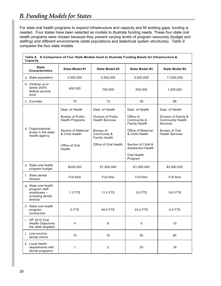### *B. Funding Models for States*

 $\Gamma$ 

For state oral health programs to expand infrastructure and capacity and fill existing gaps, funding is needed. Four states have been selected as models to illustrate funding needs. These four state oral health programs were chosen because they present varying levels of program resources (budget and staffing) and different environments (state populations and state/local system structures). *Table 9* compares the four state models.

٦

| Table 9. A Comparison of Four State Models Used to Illustrate Funding Needs for Infrastructure &<br>Capacity |                                                   |                                                  |                                                |                                                                    |  |
|--------------------------------------------------------------------------------------------------------------|---------------------------------------------------|--------------------------------------------------|------------------------------------------------|--------------------------------------------------------------------|--|
| <b>State</b><br><b>Characteristics</b>                                                                       | State Model #1                                    | State Model #2                                   | State Model #3                                 | State Model #4                                                     |  |
| a. State population                                                                                          | 2,500,000                                         | 4,500,000                                        | 5,500,000                                      | 11,500,000                                                         |  |
| b. Children at or<br>below 200%<br>federal poverty<br>level                                                  | 400,000                                           | 700,000                                          | 500,000                                        | 1,200,000                                                          |  |
| c. Counties                                                                                                  | 75                                                | 15                                               | 39                                             | 88                                                                 |  |
|                                                                                                              | Dept. of Health                                   | Dept. of Health                                  | Dept. of Health                                | Dept. of Health                                                    |  |
|                                                                                                              | <b>Bureau of Public</b><br><b>Health Programs</b> | Division of Public<br><b>Health Services</b>     | Office of<br>Community &<br>Family Health      | Division of Family &<br><b>Community Health</b><br><b>Services</b> |  |
| d. Organizational<br>levels in the state<br>health agency                                                    | <b>Section of Maternal</b><br>& Child Health      | Bureau of<br>Community &<br><b>Family Health</b> | Office of Maternal<br>& Child Health           | <b>Bureau of Oral</b><br><b>Health Services</b>                    |  |
|                                                                                                              | Office of Oral<br>Health                          | Office of Oral Health                            | Section of Child &<br><b>Adolescent Health</b> |                                                                    |  |
|                                                                                                              |                                                   |                                                  | Oral Health<br>Program                         |                                                                    |  |
| e. State oral health<br>program budget                                                                       | \$200,000                                         | \$1,000,000                                      | \$1,000,000                                    | \$2,900,000                                                        |  |
| f. State dental<br>director                                                                                  | Full time                                         | Full time                                        | Full time                                      | Full time                                                          |  |
| g. State oral health<br>program staff<br>employees -<br>including dental<br>director                         | <b>1.2 FTE</b>                                    | 11.0 FTE                                         | 3.0 FTE                                        | 19.0 FTE                                                           |  |
| h. State oral health<br>program<br>contractors                                                               | 0 FTE                                             | 46.0 FTE                                         | 24.0 FTE                                       | $0.5$ FTE                                                          |  |
| i. HP 2010 Oral<br><b>Health Objectives</b><br>the state targeted                                            | 4                                                 | 8                                                | 5                                              | 10                                                                 |  |
| Low-income<br>j.<br>dental clinics                                                                           | 10                                                | 16                                               | 35                                             | 80                                                                 |  |
| k. Local health<br>departments with<br>dental programs                                                       | 1                                                 | $\boldsymbol{2}$                                 | 20                                             | 18                                                                 |  |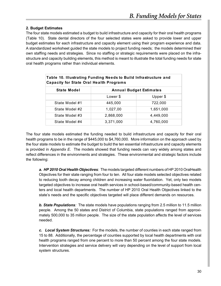### **2. Budget Estimates**

The four state models estimated a budget to build infrastructure and capacity for their oral health programs (Table 10). State dental directors of the four selected states were asked to provide lower and upper budget estimates for each infrastructure and capacity element using their program experience and data. A standardized worksheet guided the state models to project funding needs; the models determined their own staffing needs and strategies. Since no staffing or strategic requirements were placed on the infrastructure and capacity building elements, this method is meant to illustrate the total funding needs for state oral health programs rather than individual elements.

| Table 10. Illustrating Funding Needs to Build Infrastructure and<br><b>Capacity for State Oral Health Programs</b> |                                |           |  |
|--------------------------------------------------------------------------------------------------------------------|--------------------------------|-----------|--|
| State Model                                                                                                        | <b>Annual Budget Estimates</b> |           |  |
|                                                                                                                    | Lower \$                       | Upper \$  |  |
| State Model #1                                                                                                     | 445,000                        | 722,000   |  |
| State Model #2                                                                                                     | 1,027,00                       | 1,651,000 |  |
| State Model #3                                                                                                     | 2,868,000                      | 4.449.000 |  |
| State Model #4                                                                                                     | 3,371,000                      | 4,760,000 |  |

The four state models estimated the funding needed to build infrastructure and capacity for their oral health programs to be in the range of \$445,000 to \$4,760,000. More information on the approach used by the four state models to estimate the budget to build the ten essential infrastructure and capacity elements is provided in *Appendix E*. The models showed that funding needs can vary widely among states and reflect differences in the environments and strategies. These environmental and strategic factors include the following:

*a. HP 2010 Oral Health Objectives:* The models targeted different numbers of HP 2010 OralHealth Objectives for their state ranging from four to ten. All four state models selected objectives related to reducing tooth decay among children and increasing water fluoridation. Yet, only two models targeted objectives to increase oral health services in school-based/community-based health centers and local health departments. The number of HP 2010 Oral Health Objectives linked to the state's needs and the specific objectives targeted will place different demands on resources.

*b. State Populations:* The state models have populations ranging from 2.5 million to 11.5 million people. Among the 50 states and District of Columbia, state populations ranged from approximately 500,000 to 35 million people. The size of the state population affects the level of services needed.

*c. Local System Structures:* For the models, the number of counties in each state ranged from 15 to 88. Additionally, the percentage of counties supported by local health departments with oral health programs ranged from one percent to more than 50 percent among the four state models. Intervention strategies and service delivery will vary depending on the level of support from local system structures.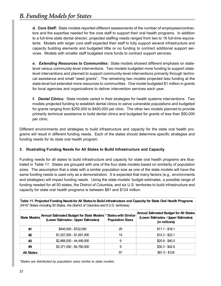*d. Core Staff:* State models reported different assessments of the number of employees/contractors and the expertise needed for the core staff to support their oral health programs. In addition to a full-time state dental director, projected staffing needs ranged from two to 16 full-time equivalents. Models with larger core staff expected their staff to fully support several infrastructure and capacity building elements and budgeted little or no funding to contract additional support services. Models with smaller staff budgeted more funds to contract support services.

*e. Extending Resources to Communities:* State models showed different emphasis on statelevel versus community-level interventions. Two models budgeted more funding to support statelevel interventions and planned to support community-level interventions primarily through technical assistance and small "seed grants". The remaining two models projected less funding at the state-level but extended more resources to communities. One model budgeted \$1 million in grants for local agencies and organizations to deliver intervention services each year.

*f. Dental Clinics:* State models varied in their strategies for health systems interventions. Two models projected funding to establish dental clinics to serve vulnerable populations and budgeted for grants ranging from \$250,000 to \$400,000 per clinic. The other two models planned to provide primarily technical assistance to build dental clinics and budgeted for grants of less than \$50,000 per clinic.

Different environments and strategies to build infrastructure and capacity for the state oral health programs will result in different funding needs. Each of the states should determine specific strategies and funding needs for its state oral health program.

### **3. Illustrating Funding Needs for All States to Build Infrastructure and Capacity**

Funding needs for all states to build infrastructure and capacity for state oral health programs are illustrated in *Table 11*. States are grouped with one of the four state models based on similarity of population sizes. The assumption that a state with a similar population size as one of the state models will have the same funding needs is used only as a demonstration. It is expected that many factors (e.g., environments and strategies) will impact funding needs. Using the state models' budget estimates, a possible range of funding needed for all 50 states, the District of Columbia, and six U.S. territories to build infrastructure and capacity for state oral health programs is between \$81 and \$124 million.

| Table 11. Projected Funding Needs for All States to Build Infrastructure and Capacity for State Oral Health Programs<br>(N=57 States including 50 States, the District of Columbia and 6 U.S. territories) |                                                                                                       |                         |                                                                                                       |  |
|------------------------------------------------------------------------------------------------------------------------------------------------------------------------------------------------------------|-------------------------------------------------------------------------------------------------------|-------------------------|-------------------------------------------------------------------------------------------------------|--|
| <b>State Models</b>                                                                                                                                                                                        | Annual Estimated Budget for State Models * States with Similar<br>(Lower Estimates - Upper Estimates) | <b>Population Sizes</b> | <b>Annual Estimated Budget for All States</b><br>(Lower Estimates - Upper Estimates)<br>(in millions) |  |
| #1                                                                                                                                                                                                         | \$445,000 - \$722,000                                                                                 | 25                      | $$11.1 - $18.1$                                                                                       |  |
| #2                                                                                                                                                                                                         | \$1.027.000 - \$1.651.000                                                                             | 14                      | $$14.3 - $23.1$                                                                                       |  |
| #3                                                                                                                                                                                                         | \$2,868,000 - 44,449,000                                                                              | 9                       | $$25.8 - $40.0$                                                                                       |  |
| #4                                                                                                                                                                                                         | \$3,371,000 - \$4,760,000                                                                             | 9                       | $$30.3 - $42.8$                                                                                       |  |
| <b>All States</b>                                                                                                                                                                                          |                                                                                                       | 57                      | $$81.5 - $124$                                                                                        |  |

*\*States are distributed by population sizes similar to state models.*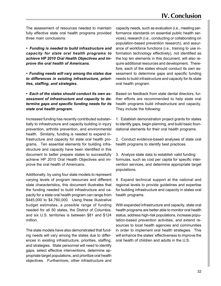The assessment of resources needed to maintain fully effective state oral health programs provided three main conclusions:

*• Funding is needed to build infrastructure and capacity for state oral health programs to achieve HP 2010 Oral Health Objectives and improve the oral health of Americans.*

*• Funding needs will vary among the states due to differences in existing infrastructure, priorities, staffing, and strategies.*

*• Each of the states should conduct its own assessment of infrastructure and capacity to determine gaps and specific funding needs for its state oral health program.*

Increased funding has recently contributed substantially to infrastructure and capacity building in injury prevention, arthritis prevention, and environmental health. Similarly, funding is needed to expand infrastructure and capacity for state oral health programs. Ten essential elements for building infrastructure and capacity have been identified in this document to better prepare states to successfully achieve HP 2010 Oral Health Objectives and improve the oral health of Americans.

Additionally, by using four state models to represent varying levels of program resources and different state characteristics, this document illustrates that the funding needed to build infrastructure and capacity for a state oral health program can range from \$445,000 to \$4,760,000. Using these illustrative budget estimates, a possible range of funding needed for all 50 states, the District of Columbia, and six U.S. territories is between \$81 and \$124 million.

The state models have also demonstrated that funding needs will vary among the states due to differences in existing infrastructure, priorities, staffing, and strategies. State personnel will need to identify gaps, select effective interventions, determine appropriate target populations, and prioritize oral health objectives. Furthermore, other infrastructure and capacity needs, such as evaluation (i.e., meeting performance standards on essential public health services), research (i.e., conducting or collaborating on population-based prevention research), and assurance of workforce functions (i.e., training to use information technology effectively), not identified as the top ten elements in this document, will also require additional resources and development. Therefore, each of the states should conduct its own assessment to determine gaps and specific funding needs to build infrastructure and capacity for its state oral health program.

Based on feedback from state dental directors, further efforts are recommended to help state oral health programs build infrastructure and capacity. They include the following:

1. Establish demonstration project grants for states to identify gaps, begin planning, and build basic foundational elements for their oral health programs.

2. Conduct evidence-based analyses of state oral health programs to identify best practices.

3. Analyze state data to establish valid funding formulas, such as cost per capita for specific intervention services, and determine appropriate target populations.

4. Expand technical support at the national and regional levels to provide guidelines and expertise for building infrastructure and capacity in states oral health programs.

With expanded infrastructure and capacity, state oral health programs are better able to monitor oral health status, address high-risk populations, increase population-based prevention activities, and extend resources to local health agencies and communities in order to implement oral health strategies. This will enhance the states' effectiveness to improve the oral health of children and adults in the U.S.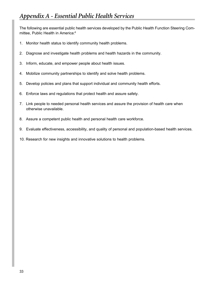The following are essential public health services developed by the Public Health Function Steering Committee, Public Health in America:<sup>8</sup>

- 1. Monitor health status to identify community health problems.
- 2. Diagnose and investigate health problems and health hazards in the community.
- 3. Inform, educate, and empower people about health issues.
- 4. Mobilize community partnerships to identify and solve health problems.
- 5. Develop policies and plans that support individual and community health efforts.
- 6. Enforce laws and regulations that protect health and assure safety.
- 7. Link people to needed personal health services and assure the provision of health care when otherwise unavailable.
- 8. Assure a competent public health and personal health care workforce.
- 9. Evaluate effectiveness, accessibility, and quality of personal and population-based health services.
- 10. Research for new insights and innovative solutions to health problems.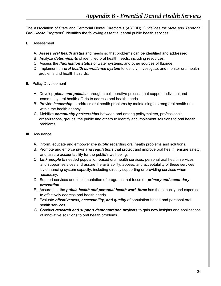The Association of State and Territorial Dental Directors's (ASTDD) *Guidelines for State and Territorial Oral Health Programs*8 identifies the following essential dental public health services:

- I. Assessment
	- A. Assess *oral health status* and needs so that problems can be identified and addressed.
	- B. Analyze *determinants* of identified oral health needs, including resources.
	- C. Assess the *fluoridation status* of water systems, and other sources of fluoride.
	- D. Implement an *oral health surveillance system* to identify, investigate, and monitor oral health problems and health hazards.
- II. Policy Development
	- A. Develop *plans and policies* through a collaborative process that support individual and community oral health efforts to address oral health needs.
	- B. Provide *leadership* to address oral health problems by maintaining a strong oral health unit within the health agency.
	- C. Mobilize *community partnerships* between and among policymakers, professionals, organizations, groups, the public and others to identify and implement solutions to oral health problems.
- III. Assurance
	- A. Inform, educate and empower *the public* regarding oral health problems and solutions.
	- B. Promote and enforce *laws and regulations* that protect and improve oral health, ensure safety, and assure accountability for the public's well-being.
	- C. *Link people* to needed population-based oral health services, personal oral health services, and support services and assure the availability, access, and acceptability of these services by enhancing system capacity, including directly supporting or providing services when necessary.
	- D. Support services and implementation of programs that focus on *primary and secondary prevention*.
	- E. Assure that the *public health and personal health work force* has the capacity and expertise to effectively address oral health needs.
	- F. Evaluate *effectiveness, accessibility, and quality* of population-based and personal oral health services.
	- G. Conduct *research and support demonstration projects* to gain new insights and applications of innovative solutions to oral health problems.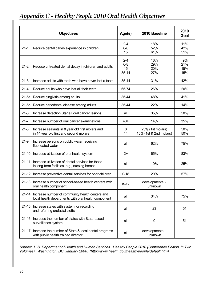## *Appendix C - Healthy People 2010 Oral Health Objectives*

|           | <b>Objectives</b>                                                                                            | Age(s)                            | 2010 Baseline                              | 2010<br>Goal            |
|-----------|--------------------------------------------------------------------------------------------------------------|-----------------------------------|--------------------------------------------|-------------------------|
| $21 - 1$  | Reduce dental caries experience in children                                                                  | $2 - 4$<br>$6 - 8$<br>15          | 18%<br>52%<br>61%                          | 11%<br>42%<br>51%       |
| $21 - 2$  | Reduce untreated dental decay in children and adults                                                         | $2 - 4$<br>$6 - 8$<br>15<br>35-44 | 16%<br>29%<br>20%<br>27%                   | 9%<br>21%<br>15%<br>15% |
| $21-3$    | Increase adults with teeth who have never lost a tooth                                                       | 35-44                             | 31%                                        | 42%                     |
| $21 - 4$  | Reduce adults who have lost all their teeth                                                                  | 65-74                             | 26%                                        | 20%                     |
|           | 21-5a Reduce gingivitis among adults                                                                         | 35-44                             | 48%                                        | 41%                     |
|           | 21-5b Reduce periodontal disease among adults                                                                | 35-44                             | 22%                                        | 14%                     |
| $21-6$    | Increase detection Stage I oral cancer lesions                                                               | all                               | 35%                                        | 50%                     |
| $21 - 7$  | Increase number of oral cancer examinations                                                                  | $40+$                             | 14%                                        | 35%                     |
| $21 - 8$  | Increase sealants in 8 year old first molars and<br>in 14 year old first and second molars                   | 8<br>14                           | 23% (1st molars)<br>15% (1st & 2nd molars) | 50%<br>50%              |
| $21-9$    | Increase persons on public water receiving<br>fluoridated water                                              | all                               | 62%                                        | 75%                     |
|           | 21-10 Increase utilization of oral health system                                                             | $2+$                              | 65%                                        | 83%                     |
| $21 - 11$ | Increase utilization of dental services for those<br>in long-term facilities, e.g., nursing homes            | all                               | 19%                                        | 25%                     |
|           | 21-12 Increase preventive dental services for poor children                                                  | $0 - 18$                          | 20%                                        | 57%                     |
|           | 21-13 Increase number of school-based health centers with<br>oral health component                           | $K-12$                            | developmental -<br>unknown                 |                         |
|           | 21-14 Increase number of community health centers and<br>local health departments with oral health component | all                               | 34%                                        | 75%                     |
|           | 21-15 Increase states with system for recording<br>and referring orofacial clefts                            | all                               | 23                                         | 51                      |
|           | 21-16 Increase the number of states with State-based<br>surveillance system                                  | all                               | $\mathbf 0$                                | 51                      |
| 21-17     | Increase the number of State & local dental programs<br>with public health trained director                  | all                               | developmental -<br>unknown                 |                         |

*Source: U.S. Department of Health and Human Services. Healthy People 2010 (Conference Edition, in Two Volumes). Washington, DC: January 2000. (http://www.health.gov/healthypeople/default.htm)*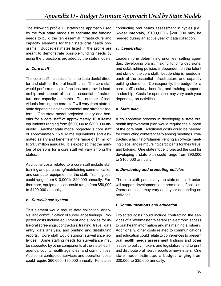The following profile illustrates the approach used by the four state models to estimate the funding needs to build the ten essential infrastructure and capacity elements for their state oral health programs. Budget estimates listed in the profile are meant to demonstrate possible funding needs by using the projections provided by the state models.

### *a. Core staff*

The core staff includes a full-time state dental director and staff for the oral health unit. The core staff would perform multiple functions and provide leadership and support of the ten essential infrastructure and capacity elements. The number of individuals forming the core staff will vary from state to state depending on environmental and strategic factors. One state model projected salary and benefits for a core staff of approximately 10 full-time equivalents ranging from \$600,000 to \$800,000 annually. Another state model projected a core staff of approximately 15 full-time equivalents and estimated salary and benefits in the range of \$1 million to \$1.5 million annually. It is expected that the number of persons for a core staff will vary among the states.

Additional costs related to a core staff include staff training and purchasing/maintaining communication and computer equipment for the staff. Training cost could range from \$10,000 to \$20,000 annually. Furthermore, equipment cost could range from \$50,000 to \$100,000 annually.

### *b. Surveillance system*

This element would require data collection, analysis, and communication of surveillance findings. Projected costs include equipment and supplies for intra-oral screenings, contractors, training, travel, data entry, data analysis, and printing and distributing reports. Core staff would support surveillance activities. Some staffing needs for surveillance may be supported by other components of the state health agency, county health agencies, and communities. Additional contracted services and operation costs could require \$60,000 - \$80,000 annually. For states conducting oral health assessment in cycles (i.e., 5-year intervals), \$100,000 - \$200,000 may be needed during an active year of data collection.

### *c. Leadership*

Leadership in determining priorities, setting agendas, developing plans, making funding decisions, and establishing policies is dependent on the talent and skills of the core staff. Leadership is needed in each of the essential infrastructure and capacity building elements. Consequently, the budget for a core staff's salary, benefits, and training supports leadership. Costs for operation may vary each year depending on activities.

### *d. State plan*

A collaborative process in developing a state oral health improvement plan would require the support of the core staff. Additional costs could be needed for conducting conferences/planning meetings, contracting a facilitator/planner, renting an off-site meeting place, and reimbursing participants for their travel and lodging. One state model projected the cost for developing a state plan could range from \$90,000 to \$100,000 annually.

### *e. Developing and promoting policies*

The core staff, particularly the state dental director, will support development and promotion of policies. Operation costs may vary each year depending on activities.

### *f. Communications and education*

Projected costs could include contracting the services of a Webmaster to establish electronic access to oral health information and maintaining a listserv. Additionally, other costs related to communications and education could relate to conferences to present oral health needs assessment findings and other issues to policy makers and legislators, and to print and distribute oral health reports or newsletters. One state model estimated a budget ranging from \$20,000 to \$35,000 annually.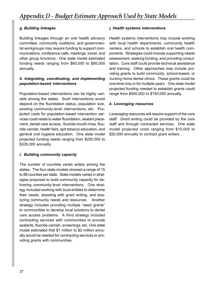### *g. Building linkages*

Building linkages through an oral health advisory committee, community coalitions, and governmental workgroups may require funding to support communications, conference calls, meetings, travel, and other group functions. One state model estimated funding needs ranging from \$60,000 to \$95,000 annually.

### *h. Integrating, coordinating, and implementing population-based interventions*

Population-based interventions can be highly variable among the states. Such interventions would depend on the fluoridation status, population size, existing community-level interventions, etc. Projected costs for population-based intervention services could relate to water fluoridation, sealant placement, dental care access, fluoride mouth rinse, fluoride varnish, health fairs, spit tobacco education, and general oral hygiene education. One state model projected funding needs ranging from \$250,000 to \$335,000 annually.

### *i. Building community capacity*

The number of counties varies widely among the states. The four state models showed a range of 15 to 88 counties per state. State models varied in strategies proposed to build community capacity for delivering community-level interventions. One strategy included working with local entities to determine their needs, assisting with grant writing, and analyzing community needs and resources. Another strategy included providing multiple "seed grants" to communities to develop local solutions to dental care access problems. A third strategy included contracting services with communities to provide sealants, fluoride varnish, screenings, etc. One state model estimated that \$1 million to \$2 million annually would be needed for contracting services or providing grants with communities.

### *j. Health systems interventions*

Health systems interventions may include working with local health departments, community health centers, and schools to establish oral health components. Strategies could include supporting needs assessment, seeking funding, and providing consultation. Core staff could provide technical assistance and training. Other approaches may include providing grants to build community, school-based, or nursing home dental clinics. These grants could be one-time only or for multiple years. One state model projected funding needed to establish grants could range from \$500,000 to \$750,000 annually.

### *k. Leveraging resources*

Leveraging resources will require support of the core staff. Grant writing could be provided by the core staff and through contracted services. One state model projected costs ranging from \$10,000 to \$20,000 annually to contract grant writers.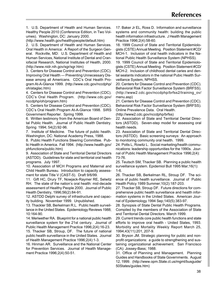1. U.S. Department of Health and Human Services. Healthy People 2010 (Conference Edition, in Two Volumes). Washington, DC: January 2000.

(http://www.health.gov/healthypeople/default.htm)

2. U.S. Department of Health and Human Services. Oral Health in America: A Report of the Surgeon General. Rockville, MD: U.S. Department of Health and Human Services, National Institute of Dental and Craniofacial Research, National Institutes of Health, 2000. (http://www.nidr.nih.gov/sgr/sgr.htm)

3. Centers for Disease Control and Prevention (CDC). Improving Oral Health — Preventing Unnecessary Disease among all Americans. CDC's Oral Health Program At-A-Glance 1999. (http://www.cdc.gov/nccdphp/ oh/ataglac.htm)

4. Centers for Disease Control and Prevention (CDC). CDC's Oral Health Program. (http://www.cdc.gov/ nccdphp/oh/program.htm)

5. Centers for Disease Control and Prevention (CDC). CDC's Oral Health Program At-A-Glance 1998. SIRS Government Reporter. Spring 1999.

6. Written testimony from the American Board of Dental Public Health. Journal of Public Health Dentistry. Spring 1994; 54(2):92-96.

7. Institute of Medicine. The future of public health. Washington, DC: National Academy Press, 1988.

8. Public Health Functions Steering Committee. Public Health in America. Fall 1994. (http://www.health.gov/ phfunctions/public.htm)

9. Association of State and Territorial Dental Directors (ASTDD). Guidelines for state and territorial oral health programs. July 1997.

10. Association of MCH Programs and Maternal and Child Health Bureau. Introduction to capacity assessment for state Title V (CAST-5). Draft 9/6/99.

11. Gift HC, Drury TF, Nowjack-Raymer RE, Selwitz RH. The state of the nation's oral health: mid-decade assessment of Healthy People 2000. Journal of Public Health Dentistry, 1996;56(2):84-91.

12. ASTDD Delphi survey of infrastructure and capacity building. November 1999. Unpublished.

13. Thackler SB, Berkelman R.L. Public health surveillance in the United States. Epidemiology Reviews 1988; 10:164-90.

14. Meriwether RA. Blueprint for a national public health surveillance system for the 21st century. Journal of Public Health Management Practice 1996;2(4):16-23.

15. Thacker SB, Stroup, DF. The future of national public health surveillance in the United States. Journal of Health Management Practice 1996;2(4):1-3.

16. Hinman AR. Surveillance and the National Center for Prevention Services. Journal of Health Management Practice 1996;2(4):50-51.

17. Baker Jr EL, Ross D. Information and surveillance systems and community health: building the public health information infrastructure. J Health Management Practice 1996;2(4):58-60.

18. 1999 Council of State and Territorial Epidemiologists (CSTE) Annual Meeting. Position Statement #CD/ MCH-1. Inclusion of oral health indicators in the National Public Health Surveillance System (NPHSS).

19. 1999 Council of State and Territorial Epidemiologists (CSTE) Annual Meeting. Position Statement #CD/ MCH-2. Inclusion of childhood dental caries and dental sealants indicators in the national Pubic Health Surveillance System, NPHSS.

20. Centers for Disease Control and Prevention (CDC). Behavioral Risk Factor Surveillance System (BRFSS). (http://www2.cdc.gov/nccdphp/brfss2/training\_ov/ menu.asp)

21. Centers for Disease Control and Prevention (CDC). Behavioral Risk Factor Surveillance System (BRFSS). Online Prevalence Data. Oral Health.

(http://www2.cdc.gov/nccdphp/brfss)

22. Association of State and Territorial Dental Directors (ASTDD). Seven-step model for assessing oral health needs.

23. Association of State and Territorial Dental Directors (ASTDD). Basic screening surveys: An approach to monitoring community oral health. 1999.

24. Potts L, Rowitz L. Social marketing/health communications: leadership opportunities for the 1990s. Journal of Public Health Management Practice 1996;2(4): 73-76.

25. Teutsch SM, Thacker SB. Planning a public health surveillance system. Epidemiol Bull 1995 Mar;16(1): 1-6.

26. Thacker SB, Berkelman RL, Stroup DF. The science of public health surveillance. Journal of Public Health Policy 1989 Summer;10(2):187-203.

27. Thacker SB, Stroup DF. Future directions for comprehensive public health surveillance and health information systems in the United States. American Journal of Epidemiology 1994 Sep;140(5):383-97.

28. Synopsis of State Dental Public Health Programs. Compiled by the members of the Association of State and Territorial Dental Directors. March 1999.

29. Current trends core public health functions and state efforts to improve oral health - United States, 1993. Morbidity and Mortality Weekly Report March 25, 1994;43(11):201, 207-9.

30. Bryson JM. Strategic planning for public and nonprofit organizations: a guide to strengthening and sustaining organizational achievement. San Francisco (CA): Jossey-Bass; 1988.

31. Office of Planning and Management. Planning Guides and Handbooks of State Governments. August 12, 1999. (http://www.opm.State.ct.us/mgmt/busguide/ 50States/guides.htm)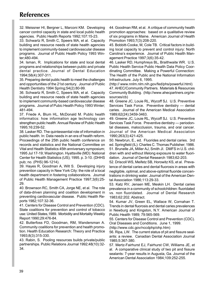32. Meissner HI, Bergner L, Marconi KM. Developing cancer control capacity in state and local public health agencies. Public Health Reports 1992;107:15-23.

33. Schwartz R, Smith C, Speers MA, et al. Capacity building and resource needs of state health agencies to implement community-based cardiovascular disease programs. Journal of Public Health Policy 1993 Winter;480-494.

34. Isman, R. Implications for state and local dental programs and relationships between public and private dental practice. Journal of Dental Education 1994;58(4):307-311.

35. Preparing dental public health to meet the challenges and opportunities of the 21st century. Journal of Public Health Dentistry 1994 Spring;54(2):80-99.

36. Schwartz R, Smith C, Speers MA, et al. Capacity building and resource needs of state health agencies to implement community-based cardiovascular disease programs. Journal of Pubic Health Policy 1993 Winter; 481-494.

37. Friede A, Blum HL, McDonald M. Public health informatics: how information age technology can strengthen public health. Annual Review of Public Health 1995;16:239-52.

38. Lasker RD. The quintessential role of information in public health. In: Data needs in an era of health reform. Proceedings of the 25th public health conference on records and statistics and the National Committee on Vital and Health Statistics 45th anniversary symposium; 1995 Jul 17-19; Washington. Hyattsville (MD): National Center for Health Statistics (US); 1995. p. 3-10. (DHHS pub; no. (PHS) 96-1214).

39. Hayes R, Goodman A, Wilt S. Developing injury prevention capacity in New York City: the role of a local health department in fostering collaborations. Journal of Public Health Management Practice 1997;3(6):25- 29.

40. Brownson RC, Smith CA, Jorge NE, et al. The role of data-driven planning and coalition development in preventing cardiovascular disease. Public Health Reports 1982;107:32-36.

41. Centers for Disease Control and Prevention (CDC). State coalitions for prevention and control of tobacco use: United States,1989. Morbidity and Mortality Weekly Report 1990;29:476-84.

42. Butterfoss FD, Goodman, RM, Wandersman A. Community coalitions for prevention and health promotion. Health Education Research: Theory and Practice 1993;8(3):315-330.

43. Rabin, S. Pooling resources builds private/public partnerships. Public Relations Journal 1992;48(10):32- 34.

44. Goodman RM, et al. A critique of community health promotion approaches: based on a qualitative review of six programs in Maine. American Journal of Health Promotion 1993;7(3):208-220.

45. Bobbitt-Cooke, M, Cole TB. Critical factors in building local capacity to prevent and control injury: North Carolina's experience. Journal of Public Health Management Practice 1997;3(6):35-42.

46. Lasker RD, Humphreys BL, Braithwaite WR. U.S. Public Health Service Public Health Data Policy Coordinating Committee. Making a Powerful Connection: The Health of the Public and the National Information Infrastructure. July 6, 1995.

(http:// www.nnlm.nlm.nih.gov/fed/phs/powerful.html) 47. AHEC/Community Partners. Materials & Resources Community Building. (http://www.ahecpartners.org/resources/cb)

48. Greene JC, Louie RL, Wycoff SJ. U.S. Preventive Services Task Force. Preventive dentistry — dental caries. Journal of the American Medical Association 1989;62(24):3459-3463.

49. Greene JC, Louie RL, Wycoff SJ. U.S. Preventive Services Task Force. Preventive dentistry — periodontal diseases, malocclusion, trauma, and oral cancer. Journal of the American Medical Association 1990;263(3):421-425.

50. Newbrun, E., ed. Fluorides and dental caries. 3rd ed. Springfield (IL): Charles C. Thomas Publisher; 1986. 51. Brunelle JA, Miller AJ, Smith JI. DMFS in U.S. children with and without lifelong exposure to water fluoridation. Journal of Dental Research 1983;62-203.

52. Driscoll WS, Meifetz SB, Horowitz KS, et al. Prevalence of dental caries and dental fluorosis in areas with negligible, optimal, and above-optimal fluoride concentrations in drinking water. Journal of the American Dental Association 1986;113:29-33.

53. Katz RV, Jensen ME, Meskin LH. Dental caries prevalence in a community of schoolchildren: fluoridated vs. non fluoridated. Journal of Dental Research 1983;62:202. Abstract.

54. Kumar JV, Green EL, Wallace W, Cornahan T. Trends in dental fluorosis and dental caries prevalences in Newburg and Kingston, N.Y. American Journal of Public Health 1989; 79:565-569.

55. Centers for Disease Control and Prevention (CDC). Oral Diseases and Conditions. June 1, 1999.

(http://www.cdc.gov/nccdphp/ohp.htm)

56. Ripa, LW. The current status of pit and fissure sealants: a review. Canadian Dental Association Journal 1985;5:367-380.

57. Mertz-Fairhurst EJ, Fairhurst CW, Williams JE, et al. A comparative clinical study of two pit and fissure sealants: 7-year results in Augusta, Ga. Journal of the American Dental Association 1984;109:252-255.